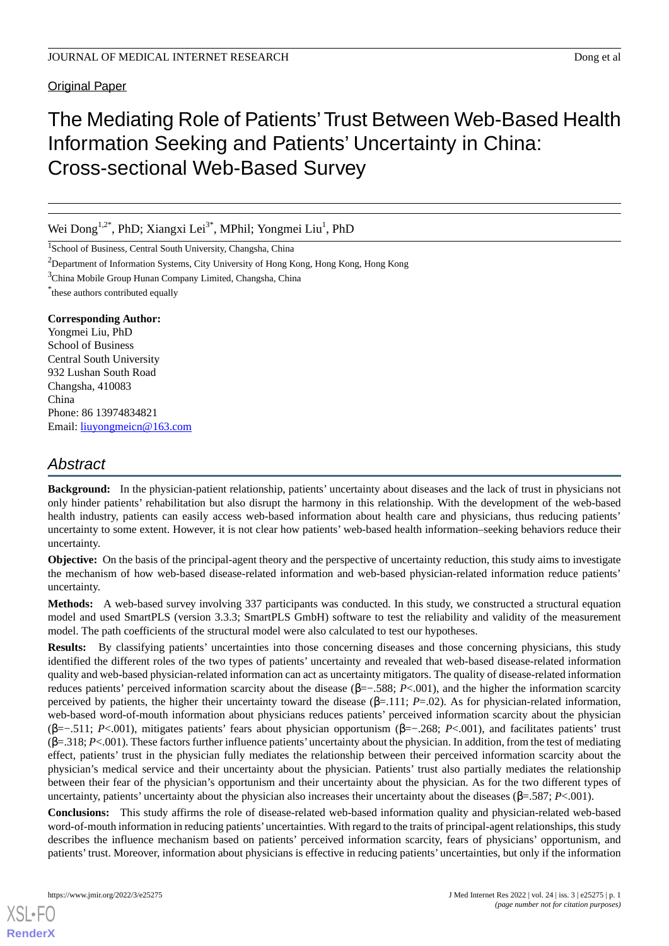### Original Paper

# The Mediating Role of Patients'Trust Between Web-Based Health Information Seeking and Patients' Uncertainty in China: Cross-sectional Web-Based Survey

Wei Dong<sup>1,2\*</sup>, PhD; Xiangxi Lei<sup>3\*</sup>, MPhil; Yongmei Liu<sup>1</sup>, PhD

<sup>1</sup>School of Business, Central South University, Changsha, China

<sup>2</sup>Department of Information Systems, City University of Hong Kong, Hong Kong, Hong Kong

<sup>3</sup>China Mobile Group Hunan Company Limited, Changsha, China

\* these authors contributed equally

### **Corresponding Author:**

Yongmei Liu, PhD School of Business Central South University 932 Lushan South Road Changsha, 410083 China Phone: 86 13974834821 Email: [liuyongmeicn@163.com](mailto:liuyongmeicn@163.com)

## *Abstract*

**Background:** In the physician-patient relationship, patients' uncertainty about diseases and the lack of trust in physicians not only hinder patients' rehabilitation but also disrupt the harmony in this relationship. With the development of the web-based health industry, patients can easily access web-based information about health care and physicians, thus reducing patients' uncertainty to some extent. However, it is not clear how patients' web-based health information–seeking behaviors reduce their uncertainty.

**Objective:** On the basis of the principal-agent theory and the perspective of uncertainty reduction, this study aims to investigate the mechanism of how web-based disease-related information and web-based physician-related information reduce patients' uncertainty.

**Methods:** A web-based survey involving 337 participants was conducted. In this study, we constructed a structural equation model and used SmartPLS (version 3.3.3; SmartPLS GmbH) software to test the reliability and validity of the measurement model. The path coefficients of the structural model were also calculated to test our hypotheses.

**Results:** By classifying patients' uncertainties into those concerning diseases and those concerning physicians, this study identified the different roles of the two types of patients' uncertainty and revealed that web-based disease-related information quality and web-based physician-related information can act as uncertainty mitigators. The quality of disease-related information reduces patients' perceived information scarcity about the disease (β=−.588; *P*<.001), and the higher the information scarcity perceived by patients, the higher their uncertainty toward the disease (β=.111; *P*=.02). As for physician-related information, web-based word-of-mouth information about physicians reduces patients' perceived information scarcity about the physician (β=−.511; *P*<.001), mitigates patients' fears about physician opportunism (β=−.268; *P*<.001), and facilitates patients' trust (β=.318; *P*<.001). These factors further influence patients'uncertainty about the physician. In addition, from the test of mediating effect, patients' trust in the physician fully mediates the relationship between their perceived information scarcity about the physician's medical service and their uncertainty about the physician. Patients' trust also partially mediates the relationship between their fear of the physician's opportunism and their uncertainty about the physician. As for the two different types of uncertainty, patients' uncertainty about the physician also increases their uncertainty about the diseases (β=.587; *P*<.001).

**Conclusions:** This study affirms the role of disease-related web-based information quality and physician-related web-based word-of-mouth information in reducing patients'uncertainties. With regard to the traits of principal-agent relationships, this study describes the influence mechanism based on patients' perceived information scarcity, fears of physicians' opportunism, and patients' trust. Moreover, information about physicians is effective in reducing patients' uncertainties, but only if the information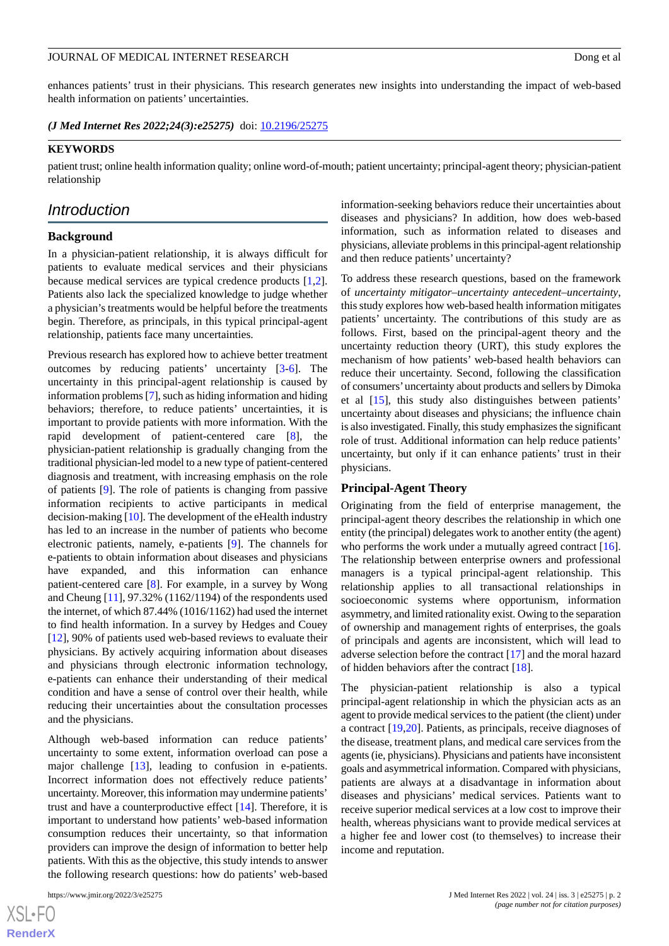enhances patients' trust in their physicians. This research generates new insights into understanding the impact of web-based health information on patients' uncertainties.

*(J Med Internet Res 2022;24(3):e25275)* doi:  $10.2196/25275$ 

### **KEYWORDS**

patient trust; online health information quality; online word-of-mouth; patient uncertainty; principal-agent theory; physician-patient relationship

### *Introduction*

### **Background**

In a physician-patient relationship, it is always difficult for patients to evaluate medical services and their physicians because medical services are typical credence products [\[1](#page-19-0),[2\]](#page-19-1). Patients also lack the specialized knowledge to judge whether a physician's treatments would be helpful before the treatments begin. Therefore, as principals, in this typical principal-agent relationship, patients face many uncertainties.

Previous research has explored how to achieve better treatment outcomes by reducing patients' uncertainty [[3-](#page-19-2)[6](#page-19-3)]. The uncertainty in this principal-agent relationship is caused by information problems [\[7\]](#page-19-4), such as hiding information and hiding behaviors; therefore, to reduce patients' uncertainties, it is important to provide patients with more information. With the rapid development of patient-centered care [\[8](#page-19-5)], the physician-patient relationship is gradually changing from the traditional physician-led model to a new type of patient-centered diagnosis and treatment, with increasing emphasis on the role of patients [[9\]](#page-19-6). The role of patients is changing from passive information recipients to active participants in medical decision-making [\[10\]](#page-19-7). The development of the eHealth industry has led to an increase in the number of patients who become electronic patients, namely, e-patients [[9\]](#page-19-6). The channels for e-patients to obtain information about diseases and physicians have expanded, and this information can enhance patient-centered care [[8\]](#page-19-5). For example, in a survey by Wong and Cheung [[11\]](#page-19-8), 97.32% (1162/1194) of the respondents used the internet, of which 87.44% (1016/1162) had used the internet to find health information. In a survey by Hedges and Couey [[12\]](#page-19-9), 90% of patients used web-based reviews to evaluate their physicians. By actively acquiring information about diseases and physicians through electronic information technology, e-patients can enhance their understanding of their medical condition and have a sense of control over their health, while reducing their uncertainties about the consultation processes and the physicians.

Although web-based information can reduce patients' uncertainty to some extent, information overload can pose a major challenge [[13\]](#page-19-10), leading to confusion in e-patients. Incorrect information does not effectively reduce patients' uncertainty. Moreover, this information may undermine patients' trust and have a counterproductive effect [\[14](#page-19-11)]. Therefore, it is important to understand how patients' web-based information consumption reduces their uncertainty, so that information providers can improve the design of information to better help patients. With this as the objective, this study intends to answer the following research questions: how do patients' web-based

[XSL](http://www.w3.org/Style/XSL)•FO **[RenderX](http://www.renderx.com/)** information-seeking behaviors reduce their uncertainties about diseases and physicians? In addition, how does web-based information, such as information related to diseases and physicians, alleviate problems in this principal-agent relationship and then reduce patients' uncertainty?

To address these research questions, based on the framework of *uncertainty mitigator–uncertainty antecedent–uncertainty*, this study explores how web-based health information mitigates patients' uncertainty. The contributions of this study are as follows. First, based on the principal-agent theory and the uncertainty reduction theory (URT), this study explores the mechanism of how patients' web-based health behaviors can reduce their uncertainty. Second, following the classification of consumers'uncertainty about products and sellers by Dimoka et al [\[15](#page-19-12)], this study also distinguishes between patients' uncertainty about diseases and physicians; the influence chain is also investigated. Finally, this study emphasizes the significant role of trust. Additional information can help reduce patients' uncertainty, but only if it can enhance patients' trust in their physicians.

#### **Principal-Agent Theory**

Originating from the field of enterprise management, the principal-agent theory describes the relationship in which one entity (the principal) delegates work to another entity (the agent) who performs the work under a mutually agreed contract [[16\]](#page-19-13). The relationship between enterprise owners and professional managers is a typical principal-agent relationship. This relationship applies to all transactional relationships in socioeconomic systems where opportunism, information asymmetry, and limited rationality exist. Owing to the separation of ownership and management rights of enterprises, the goals of principals and agents are inconsistent, which will lead to adverse selection before the contract [[17\]](#page-19-14) and the moral hazard of hidden behaviors after the contract [[18\]](#page-19-15).

The physician-patient relationship is also a typical principal-agent relationship in which the physician acts as an agent to provide medical services to the patient (the client) under a contract [[19,](#page-19-16)[20](#page-19-17)]. Patients, as principals, receive diagnoses of the disease, treatment plans, and medical care services from the agents (ie, physicians). Physicians and patients have inconsistent goals and asymmetrical information. Compared with physicians, patients are always at a disadvantage in information about diseases and physicians' medical services. Patients want to receive superior medical services at a low cost to improve their health, whereas physicians want to provide medical services at a higher fee and lower cost (to themselves) to increase their income and reputation.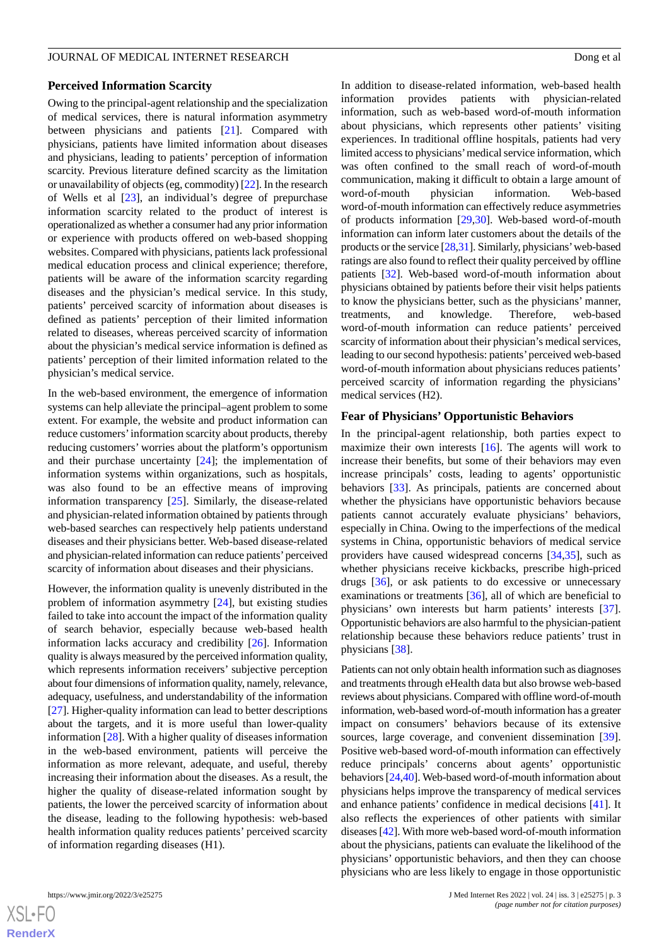### **Perceived Information Scarcity**

Owing to the principal-agent relationship and the specialization of medical services, there is natural information asymmetry between physicians and patients [[21\]](#page-20-0). Compared with physicians, patients have limited information about diseases and physicians, leading to patients' perception of information scarcity. Previous literature defined scarcity as the limitation or unavailability of objects (eg, commodity) [[22](#page-20-1)]. In the research of Wells et al [\[23](#page-20-2)], an individual's degree of prepurchase information scarcity related to the product of interest is operationalized as whether a consumer had any prior information or experience with products offered on web-based shopping websites. Compared with physicians, patients lack professional medical education process and clinical experience; therefore, patients will be aware of the information scarcity regarding diseases and the physician's medical service. In this study, patients' perceived scarcity of information about diseases is defined as patients' perception of their limited information related to diseases, whereas perceived scarcity of information about the physician's medical service information is defined as patients' perception of their limited information related to the physician's medical service.

In the web-based environment, the emergence of information systems can help alleviate the principal–agent problem to some extent. For example, the website and product information can reduce customers'information scarcity about products, thereby reducing customers' worries about the platform's opportunism and their purchase uncertainty [\[24](#page-20-3)]; the implementation of information systems within organizations, such as hospitals, was also found to be an effective means of improving information transparency [\[25](#page-20-4)]. Similarly, the disease-related and physician-related information obtained by patients through web-based searches can respectively help patients understand diseases and their physicians better. Web-based disease-related and physician-related information can reduce patients'perceived scarcity of information about diseases and their physicians.

However, the information quality is unevenly distributed in the problem of information asymmetry [\[24](#page-20-3)], but existing studies failed to take into account the impact of the information quality of search behavior, especially because web-based health information lacks accuracy and credibility [\[26](#page-20-5)]. Information quality is always measured by the perceived information quality, which represents information receivers' subjective perception about four dimensions of information quality, namely, relevance, adequacy, usefulness, and understandability of the information [[27\]](#page-20-6). Higher-quality information can lead to better descriptions about the targets, and it is more useful than lower-quality information [\[28](#page-20-7)]. With a higher quality of diseases information in the web-based environment, patients will perceive the information as more relevant, adequate, and useful, thereby increasing their information about the diseases. As a result, the higher the quality of disease-related information sought by patients, the lower the perceived scarcity of information about the disease, leading to the following hypothesis: web-based health information quality reduces patients' perceived scarcity of information regarding diseases (H1).

 $XS$  • FC **[RenderX](http://www.renderx.com/)** In addition to disease-related information, web-based health information provides patients with physician-related information, such as web-based word-of-mouth information about physicians, which represents other patients' visiting experiences. In traditional offline hospitals, patients had very limited access to physicians'medical service information, which was often confined to the small reach of word-of-mouth communication, making it difficult to obtain a large amount of word-of-mouth physician information. Web-based word-of-mouth information can effectively reduce asymmetries of products information [\[29](#page-20-8),[30\]](#page-20-9). Web-based word-of-mouth information can inform later customers about the details of the products or the service [[28,](#page-20-7)[31\]](#page-20-10). Similarly, physicians'web-based ratings are also found to reflect their quality perceived by offline patients [[32\]](#page-20-11). Web-based word-of-mouth information about physicians obtained by patients before their visit helps patients to know the physicians better, such as the physicians' manner, treatments, and knowledge. Therefore, web-based word-of-mouth information can reduce patients' perceived scarcity of information about their physician's medical services, leading to our second hypothesis: patients'perceived web-based word-of-mouth information about physicians reduces patients' perceived scarcity of information regarding the physicians' medical services (H2).

### **Fear of Physicians' Opportunistic Behaviors**

In the principal-agent relationship, both parties expect to maximize their own interests [[16\]](#page-19-13). The agents will work to increase their benefits, but some of their behaviors may even increase principals' costs, leading to agents' opportunistic behaviors [\[33](#page-20-12)]. As principals, patients are concerned about whether the physicians have opportunistic behaviors because patients cannot accurately evaluate physicians' behaviors, especially in China. Owing to the imperfections of the medical systems in China, opportunistic behaviors of medical service providers have caused widespread concerns [\[34](#page-20-13),[35\]](#page-20-14), such as whether physicians receive kickbacks, prescribe high-priced drugs [[36\]](#page-20-15), or ask patients to do excessive or unnecessary examinations or treatments [\[36](#page-20-15)], all of which are beneficial to physicians' own interests but harm patients' interests [[37\]](#page-20-16). Opportunistic behaviors are also harmful to the physician-patient relationship because these behaviors reduce patients' trust in physicians [[38\]](#page-20-17).

Patients can not only obtain health information such as diagnoses and treatments through eHealth data but also browse web-based reviews about physicians. Compared with offline word-of-mouth information, web-based word-of-mouth information has a greater impact on consumers' behaviors because of its extensive sources, large coverage, and convenient dissemination [[39\]](#page-20-18). Positive web-based word-of-mouth information can effectively reduce principals' concerns about agents' opportunistic behaviors [[24](#page-20-3),[40\]](#page-20-19). Web-based word-of-mouth information about physicians helps improve the transparency of medical services and enhance patients' confidence in medical decisions [[41\]](#page-20-20). It also reflects the experiences of other patients with similar diseases [[42](#page-20-21)]. With more web-based word-of-mouth information about the physicians, patients can evaluate the likelihood of the physicians' opportunistic behaviors, and then they can choose physicians who are less likely to engage in those opportunistic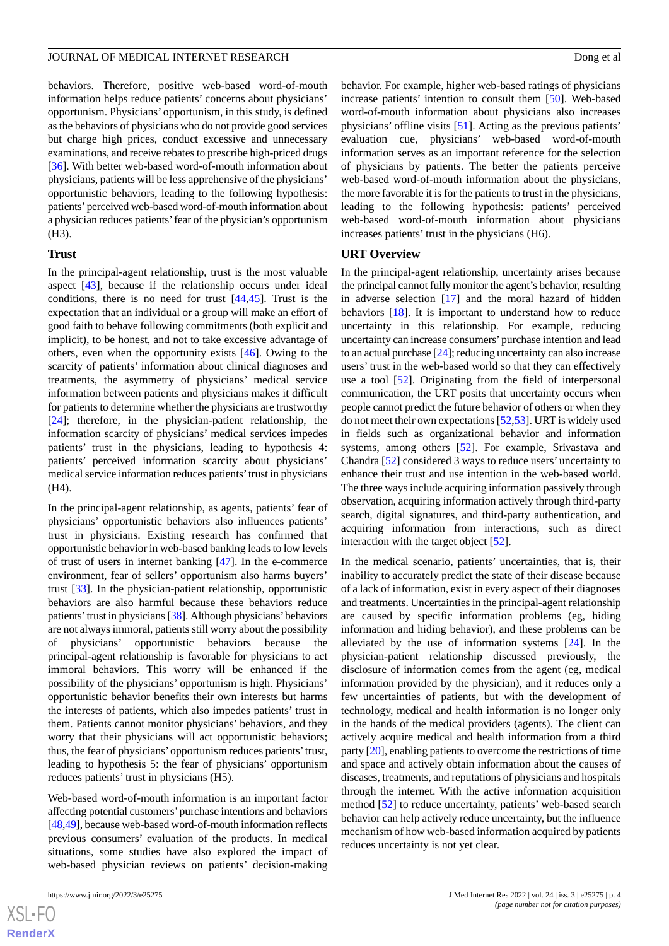behaviors. Therefore, positive web-based word-of-mouth information helps reduce patients' concerns about physicians' opportunism. Physicians' opportunism, in this study, is defined as the behaviors of physicians who do not provide good services but charge high prices, conduct excessive and unnecessary examinations, and receive rebates to prescribe high-priced drugs [[36\]](#page-20-15). With better web-based word-of-mouth information about physicians, patients will be less apprehensive of the physicians' opportunistic behaviors, leading to the following hypothesis: patients'perceived web-based word-of-mouth information about a physician reduces patients'fear of the physician's opportunism (H3).

### **Trust**

In the principal-agent relationship, trust is the most valuable aspect [[43\]](#page-20-22), because if the relationship occurs under ideal conditions, there is no need for trust [\[44](#page-20-23),[45\]](#page-20-24). Trust is the expectation that an individual or a group will make an effort of good faith to behave following commitments (both explicit and implicit), to be honest, and not to take excessive advantage of others, even when the opportunity exists [\[46](#page-20-25)]. Owing to the scarcity of patients' information about clinical diagnoses and treatments, the asymmetry of physicians' medical service information between patients and physicians makes it difficult for patients to determine whether the physicians are trustworthy [[24\]](#page-20-3); therefore, in the physician-patient relationship, the information scarcity of physicians' medical services impedes patients' trust in the physicians, leading to hypothesis 4: patients' perceived information scarcity about physicians' medical service information reduces patients'trust in physicians (H4).

In the principal-agent relationship, as agents, patients' fear of physicians' opportunistic behaviors also influences patients' trust in physicians. Existing research has confirmed that opportunistic behavior in web-based banking leads to low levels of trust of users in internet banking [[47\]](#page-20-26). In the e-commerce environment, fear of sellers' opportunism also harms buyers' trust [\[33](#page-20-12)]. In the physician-patient relationship, opportunistic behaviors are also harmful because these behaviors reduce patients' trust in physicians [\[38\]](#page-20-17). Although physicians' behaviors are not always immoral, patients still worry about the possibility of physicians' opportunistic behaviors because the principal-agent relationship is favorable for physicians to act immoral behaviors. This worry will be enhanced if the possibility of the physicians' opportunism is high. Physicians' opportunistic behavior benefits their own interests but harms the interests of patients, which also impedes patients' trust in them. Patients cannot monitor physicians' behaviors, and they worry that their physicians will act opportunistic behaviors; thus, the fear of physicians'opportunism reduces patients'trust, leading to hypothesis 5: the fear of physicians' opportunism reduces patients' trust in physicians (H5).

Web-based word-of-mouth information is an important factor affecting potential customers'purchase intentions and behaviors [[48,](#page-21-0)[49\]](#page-21-1), because web-based word-of-mouth information reflects previous consumers' evaluation of the products. In medical situations, some studies have also explored the impact of web-based physician reviews on patients' decision-making

behavior. For example, higher web-based ratings of physicians increase patients' intention to consult them [[50\]](#page-21-2). Web-based word-of-mouth information about physicians also increases physicians' offline visits [\[51](#page-21-3)]. Acting as the previous patients' evaluation cue, physicians' web-based word-of-mouth information serves as an important reference for the selection of physicians by patients. The better the patients perceive web-based word-of-mouth information about the physicians, the more favorable it is for the patients to trust in the physicians, leading to the following hypothesis: patients' perceived web-based word-of-mouth information about physicians increases patients' trust in the physicians (H6).

#### **URT Overview**

In the principal-agent relationship, uncertainty arises because the principal cannot fully monitor the agent's behavior, resulting in adverse selection  $[17]$  $[17]$  and the moral hazard of hidden behaviors [[18\]](#page-19-15). It is important to understand how to reduce uncertainty in this relationship. For example, reducing uncertainty can increase consumers'purchase intention and lead to an actual purchase [\[24\]](#page-20-3); reducing uncertainty can also increase users' trust in the web-based world so that they can effectively use a tool [[52\]](#page-21-4). Originating from the field of interpersonal communication, the URT posits that uncertainty occurs when people cannot predict the future behavior of others or when they do not meet their own expectations [\[52](#page-21-4),[53\]](#page-21-5). URT is widely used in fields such as organizational behavior and information systems, among others [[52\]](#page-21-4). For example, Srivastava and Chandra [\[52](#page-21-4)] considered 3 ways to reduce users' uncertainty to enhance their trust and use intention in the web-based world. The three ways include acquiring information passively through observation, acquiring information actively through third-party search, digital signatures, and third-party authentication, and acquiring information from interactions, such as direct interaction with the target object [\[52](#page-21-4)].

In the medical scenario, patients' uncertainties, that is, their inability to accurately predict the state of their disease because of a lack of information, exist in every aspect of their diagnoses and treatments. Uncertainties in the principal-agent relationship are caused by specific information problems (eg, hiding information and hiding behavior), and these problems can be alleviated by the use of information systems [[24\]](#page-20-3). In the physician-patient relationship discussed previously, the disclosure of information comes from the agent (eg, medical information provided by the physician), and it reduces only a few uncertainties of patients, but with the development of technology, medical and health information is no longer only in the hands of the medical providers (agents). The client can actively acquire medical and health information from a third party [\[20\]](#page-19-17), enabling patients to overcome the restrictions of time and space and actively obtain information about the causes of diseases, treatments, and reputations of physicians and hospitals through the internet. With the active information acquisition method [[52\]](#page-21-4) to reduce uncertainty, patients' web-based search behavior can help actively reduce uncertainty, but the influence mechanism of how web-based information acquired by patients reduces uncertainty is not yet clear.

```
XS\cdotFC
RenderX
```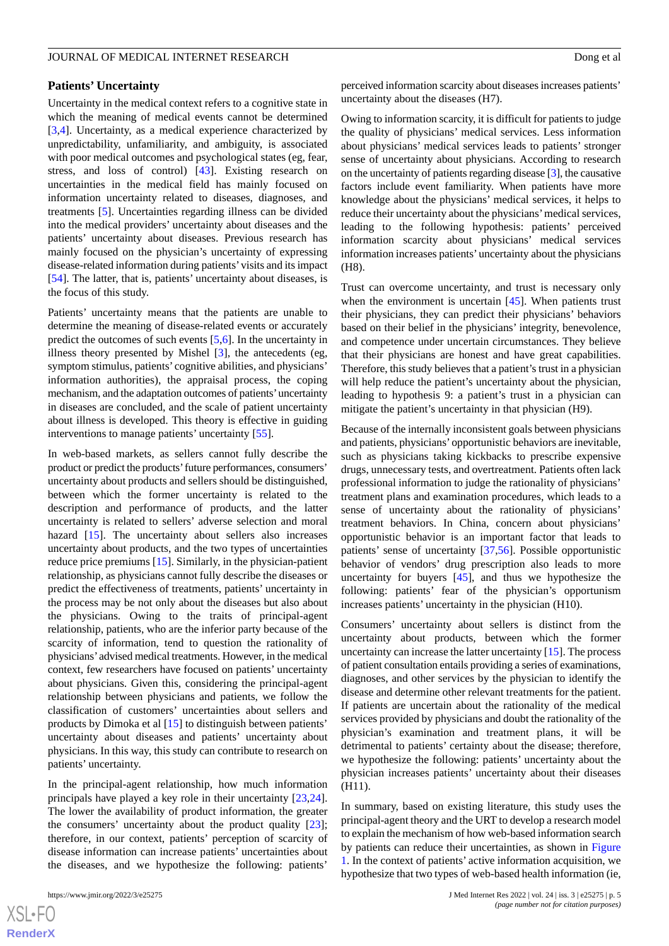### **Patients' Uncertainty**

Uncertainty in the medical context refers to a cognitive state in which the meaning of medical events cannot be determined [[3](#page-19-2)[,4](#page-19-18)]. Uncertainty, as a medical experience characterized by unpredictability, unfamiliarity, and ambiguity, is associated with poor medical outcomes and psychological states (eg, fear, stress, and loss of control) [\[43](#page-20-22)]. Existing research on uncertainties in the medical field has mainly focused on information uncertainty related to diseases, diagnoses, and treatments [[5\]](#page-19-19). Uncertainties regarding illness can be divided into the medical providers' uncertainty about diseases and the patients' uncertainty about diseases. Previous research has mainly focused on the physician's uncertainty of expressing disease-related information during patients'visits and its impact [[54\]](#page-21-6). The latter, that is, patients' uncertainty about diseases, is the focus of this study.

Patients' uncertainty means that the patients are unable to determine the meaning of disease-related events or accurately predict the outcomes of such events [\[5](#page-19-19),[6\]](#page-19-3). In the uncertainty in illness theory presented by Mishel [\[3](#page-19-2)], the antecedents (eg, symptom stimulus, patients' cognitive abilities, and physicians' information authorities), the appraisal process, the coping mechanism, and the adaptation outcomes of patients'uncertainty in diseases are concluded, and the scale of patient uncertainty about illness is developed. This theory is effective in guiding interventions to manage patients' uncertainty [[55\]](#page-21-7).

In web-based markets, as sellers cannot fully describe the product or predict the products'future performances, consumers' uncertainty about products and sellers should be distinguished, between which the former uncertainty is related to the description and performance of products, and the latter uncertainty is related to sellers' adverse selection and moral hazard [\[15](#page-19-12)]. The uncertainty about sellers also increases uncertainty about products, and the two types of uncertainties reduce price premiums [\[15](#page-19-12)]. Similarly, in the physician-patient relationship, as physicians cannot fully describe the diseases or predict the effectiveness of treatments, patients' uncertainty in the process may be not only about the diseases but also about the physicians. Owing to the traits of principal-agent relationship, patients, who are the inferior party because of the scarcity of information, tend to question the rationality of physicians'advised medical treatments. However, in the medical context, few researchers have focused on patients' uncertainty about physicians. Given this, considering the principal-agent relationship between physicians and patients, we follow the classification of customers' uncertainties about sellers and products by Dimoka et al [\[15](#page-19-12)] to distinguish between patients' uncertainty about diseases and patients' uncertainty about physicians. In this way, this study can contribute to research on patients' uncertainty.

In the principal-agent relationship, how much information principals have played a key role in their uncertainty [\[23](#page-20-2),[24\]](#page-20-3). The lower the availability of product information, the greater the consumers' uncertainty about the product quality [[23\]](#page-20-2); therefore, in our context, patients' perception of scarcity of disease information can increase patients' uncertainties about the diseases, and we hypothesize the following: patients'

 $XS$  $\cdot$ FC **[RenderX](http://www.renderx.com/)** perceived information scarcity about diseases increases patients' uncertainty about the diseases (H7).

Owing to information scarcity, it is difficult for patients to judge the quality of physicians' medical services. Less information about physicians' medical services leads to patients' stronger sense of uncertainty about physicians. According to research on the uncertainty of patients regarding disease [\[3](#page-19-2)], the causative factors include event familiarity. When patients have more knowledge about the physicians' medical services, it helps to reduce their uncertainty about the physicians'medical services, leading to the following hypothesis: patients' perceived information scarcity about physicians' medical services information increases patients'uncertainty about the physicians (H8).

Trust can overcome uncertainty, and trust is necessary only when the environment is uncertain [\[45](#page-20-24)]. When patients trust their physicians, they can predict their physicians' behaviors based on their belief in the physicians' integrity, benevolence, and competence under uncertain circumstances. They believe that their physicians are honest and have great capabilities. Therefore, this study believes that a patient's trust in a physician will help reduce the patient's uncertainty about the physician, leading to hypothesis 9: a patient's trust in a physician can mitigate the patient's uncertainty in that physician (H9).

Because of the internally inconsistent goals between physicians and patients, physicians'opportunistic behaviors are inevitable, such as physicians taking kickbacks to prescribe expensive drugs, unnecessary tests, and overtreatment. Patients often lack professional information to judge the rationality of physicians' treatment plans and examination procedures, which leads to a sense of uncertainty about the rationality of physicians' treatment behaviors. In China, concern about physicians' opportunistic behavior is an important factor that leads to patients' sense of uncertainty [[37](#page-20-16)[,56](#page-21-8)]. Possible opportunistic behavior of vendors' drug prescription also leads to more uncertainty for buyers [[45\]](#page-20-24), and thus we hypothesize the following: patients' fear of the physician's opportunism increases patients' uncertainty in the physician (H10).

Consumers' uncertainty about sellers is distinct from the uncertainty about products, between which the former uncertainty can increase the latter uncertainty [[15\]](#page-19-12). The process of patient consultation entails providing a series of examinations, diagnoses, and other services by the physician to identify the disease and determine other relevant treatments for the patient. If patients are uncertain about the rationality of the medical services provided by physicians and doubt the rationality of the physician's examination and treatment plans, it will be detrimental to patients' certainty about the disease; therefore, we hypothesize the following: patients' uncertainty about the physician increases patients' uncertainty about their diseases (H11).

In summary, based on existing literature, this study uses the principal-agent theory and the URT to develop a research model to explain the mechanism of how web-based information search by patients can reduce their uncertainties, as shown in [Figure](#page-5-0) [1.](#page-5-0) In the context of patients' active information acquisition, we hypothesize that two types of web-based health information (ie,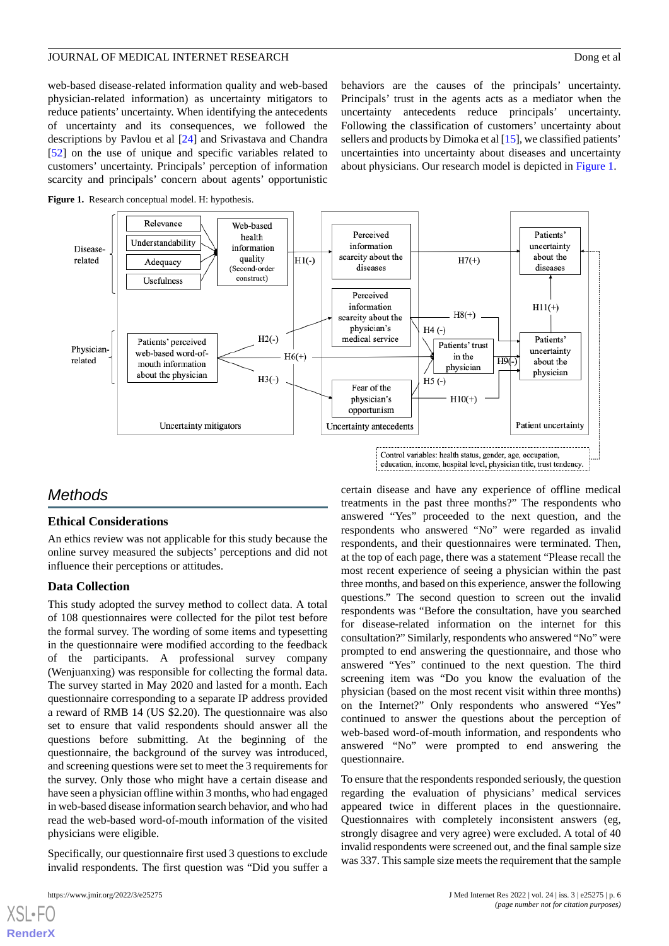web-based disease-related information quality and web-based physician-related information) as uncertainty mitigators to reduce patients' uncertainty. When identifying the antecedents of uncertainty and its consequences, we followed the descriptions by Pavlou et al [\[24](#page-20-3)] and Srivastava and Chandra [[52\]](#page-21-4) on the use of unique and specific variables related to customers' uncertainty. Principals' perception of information scarcity and principals' concern about agents' opportunistic

behaviors are the causes of the principals' uncertainty. Principals' trust in the agents acts as a mediator when the uncertainty antecedents reduce principals' uncertainty. Following the classification of customers' uncertainty about sellers and products by Dimoka et al [\[15](#page-19-12)], we classified patients' uncertainties into uncertainty about diseases and uncertainty about physicians. Our research model is depicted in [Figure 1](#page-5-0).

<span id="page-5-0"></span>



### *Methods*

### **Ethical Considerations**

An ethics review was not applicable for this study because the online survey measured the subjects' perceptions and did not influence their perceptions or attitudes.

### **Data Collection**

This study adopted the survey method to collect data. A total of 108 questionnaires were collected for the pilot test before the formal survey. The wording of some items and typesetting in the questionnaire were modified according to the feedback of the participants. A professional survey company (Wenjuanxing) was responsible for collecting the formal data. The survey started in May 2020 and lasted for a month. Each questionnaire corresponding to a separate IP address provided a reward of RMB 14 (US \$2.20). The questionnaire was also set to ensure that valid respondents should answer all the questions before submitting. At the beginning of the questionnaire, the background of the survey was introduced, and screening questions were set to meet the 3 requirements for the survey. Only those who might have a certain disease and have seen a physician offline within 3 months, who had engaged in web-based disease information search behavior, and who had read the web-based word-of-mouth information of the visited physicians were eligible.

Specifically, our questionnaire first used 3 questions to exclude invalid respondents. The first question was "Did you suffer a

[XSL](http://www.w3.org/Style/XSL)•FO **[RenderX](http://www.renderx.com/)**

certain disease and have any experience of offline medical treatments in the past three months?" The respondents who answered "Yes" proceeded to the next question, and the respondents who answered "No" were regarded as invalid respondents, and their questionnaires were terminated. Then, at the top of each page, there was a statement "Please recall the most recent experience of seeing a physician within the past three months, and based on this experience, answer the following questions." The second question to screen out the invalid respondents was "Before the consultation, have you searched for disease-related information on the internet for this consultation?" Similarly, respondents who answered "No" were prompted to end answering the questionnaire, and those who answered "Yes" continued to the next question. The third screening item was "Do you know the evaluation of the physician (based on the most recent visit within three months) on the Internet?" Only respondents who answered "Yes" continued to answer the questions about the perception of web-based word-of-mouth information, and respondents who answered "No" were prompted to end answering the questionnaire.

To ensure that the respondents responded seriously, the question regarding the evaluation of physicians' medical services appeared twice in different places in the questionnaire. Questionnaires with completely inconsistent answers (eg, strongly disagree and very agree) were excluded. A total of 40 invalid respondents were screened out, and the final sample size was 337. This sample size meets the requirement that the sample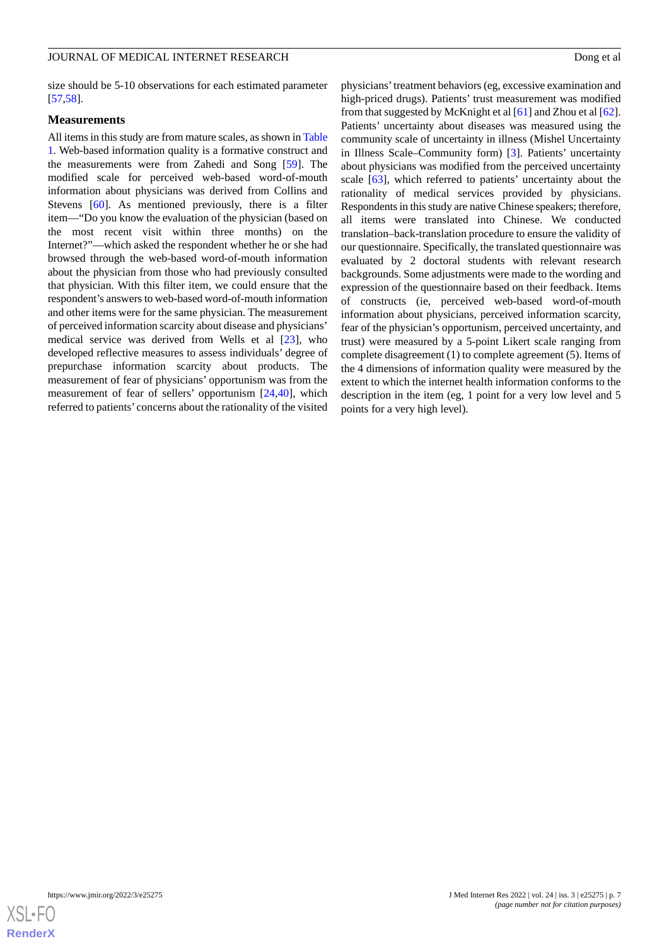size should be 5-10 observations for each estimated parameter [[57](#page-21-9)[,58](#page-21-10)].

### **Measurements**

All items in this study are from mature scales, as shown in [Table](#page-7-0) [1.](#page-7-0) Web-based information quality is a formative construct and the measurements were from Zahedi and Song [[59\]](#page-21-11). The modified scale for perceived web-based word-of-mouth information about physicians was derived from Collins and Stevens [\[60](#page-21-12)]. As mentioned previously, there is a filter item—"Do you know the evaluation of the physician (based on the most recent visit within three months) on the Internet?"—which asked the respondent whether he or she had browsed through the web-based word-of-mouth information about the physician from those who had previously consulted that physician. With this filter item, we could ensure that the respondent's answers to web-based word-of-mouth information and other items were for the same physician. The measurement of perceived information scarcity about disease and physicians' medical service was derived from Wells et al [[23\]](#page-20-2), who developed reflective measures to assess individuals' degree of prepurchase information scarcity about products. The measurement of fear of physicians' opportunism was from the measurement of fear of sellers' opportunism [[24](#page-20-3)[,40](#page-20-19)], which referred to patients' concerns about the rationality of the visited

physicians'treatment behaviors (eg, excessive examination and high-priced drugs). Patients' trust measurement was modified from that suggested by McKnight et al [\[61](#page-21-13)] and Zhou et al [[62\]](#page-21-14). Patients' uncertainty about diseases was measured using the community scale of uncertainty in illness (Mishel Uncertainty in Illness Scale–Community form) [[3\]](#page-19-2). Patients' uncertainty about physicians was modified from the perceived uncertainty scale [\[63](#page-21-15)], which referred to patients' uncertainty about the rationality of medical services provided by physicians. Respondents in this study are native Chinese speakers; therefore, all items were translated into Chinese. We conducted translation–back-translation procedure to ensure the validity of our questionnaire. Specifically, the translated questionnaire was evaluated by 2 doctoral students with relevant research backgrounds. Some adjustments were made to the wording and expression of the questionnaire based on their feedback. Items of constructs (ie, perceived web-based word-of-mouth information about physicians, perceived information scarcity, fear of the physician's opportunism, perceived uncertainty, and trust) were measured by a 5-point Likert scale ranging from complete disagreement (1) to complete agreement (5). Items of the 4 dimensions of information quality were measured by the extent to which the internet health information conforms to the description in the item (eg, 1 point for a very low level and 5 points for a very high level).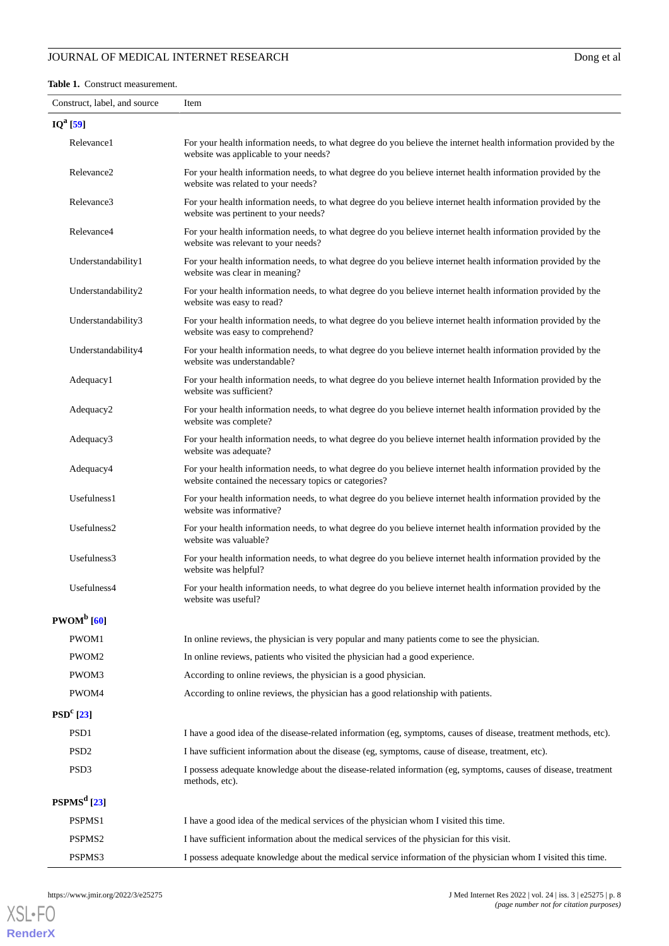#### <span id="page-7-0"></span>**Table 1.** Construct measurement.

| Construct, label, and source | Item                                                                                                                                                                  |
|------------------------------|-----------------------------------------------------------------------------------------------------------------------------------------------------------------------|
| $IQ^a[59]$                   |                                                                                                                                                                       |
| Relevance1                   | For your health information needs, to what degree do you believe the internet health information provided by the<br>website was applicable to your needs?             |
| Relevance <sub>2</sub>       | For your health information needs, to what degree do you believe internet health information provided by the<br>website was related to your needs?                    |
| Relevance3                   | For your health information needs, to what degree do you believe internet health information provided by the<br>website was pertinent to your needs?                  |
| Relevance4                   | For your health information needs, to what degree do you believe internet health information provided by the<br>website was relevant to your needs?                   |
| Understandability1           | For your health information needs, to what degree do you believe internet health information provided by the<br>website was clear in meaning?                         |
| Understandability2           | For your health information needs, to what degree do you believe internet health information provided by the<br>website was easy to read?                             |
| Understandability3           | For your health information needs, to what degree do you believe internet health information provided by the<br>website was easy to comprehend?                       |
| Understandability4           | For your health information needs, to what degree do you believe internet health information provided by the<br>website was understandable?                           |
| Adequacy1                    | For your health information needs, to what degree do you believe internet health Information provided by the<br>website was sufficient?                               |
| Adequacy2                    | For your health information needs, to what degree do you believe internet health information provided by the<br>website was complete?                                 |
| Adequacy3                    | For your health information needs, to what degree do you believe internet health information provided by the<br>website was adequate?                                 |
| Adequacy4                    | For your health information needs, to what degree do you believe internet health information provided by the<br>website contained the necessary topics or categories? |
| Usefulness1                  | For your health information needs, to what degree do you believe internet health information provided by the<br>website was informative?                              |
| Usefulness2                  | For your health information needs, to what degree do you believe internet health information provided by the<br>website was valuable?                                 |
| Usefulness3                  | For your health information needs, to what degree do you believe internet health information provided by the<br>website was helpful?                                  |
| Usefulness4                  | For your health information needs, to what degree do you believe internet health information provided by the<br>website was useful?                                   |
| $PWOM^b$ [60]                |                                                                                                                                                                       |
| PWOM1                        | In online reviews, the physician is very popular and many patients come to see the physician.                                                                         |
| PWOM2                        | In online reviews, patients who visited the physician had a good experience.                                                                                          |
| PWOM3                        | According to online reviews, the physician is a good physician.                                                                                                       |
| PWOM4                        | According to online reviews, the physician has a good relationship with patients.                                                                                     |
| $PSDc$ [23]                  |                                                                                                                                                                       |
| PSD1                         | I have a good idea of the disease-related information (eg, symptoms, causes of disease, treatment methods, etc).                                                      |
| PSD <sub>2</sub>             | I have sufficient information about the disease (eg, symptoms, cause of disease, treatment, etc).                                                                     |
| PSD <sub>3</sub>             | I possess adequate knowledge about the disease-related information (eg, symptoms, causes of disease, treatment<br>methods, etc).                                      |
| PSPMS <sup>d</sup> [23]      |                                                                                                                                                                       |
| PSPMS1                       | I have a good idea of the medical services of the physician whom I visited this time.                                                                                 |
| PSPMS <sub>2</sub>           | I have sufficient information about the medical services of the physician for this visit.                                                                             |
| PSPMS3                       | I possess adequate knowledge about the medical service information of the physician whom I visited this time.                                                         |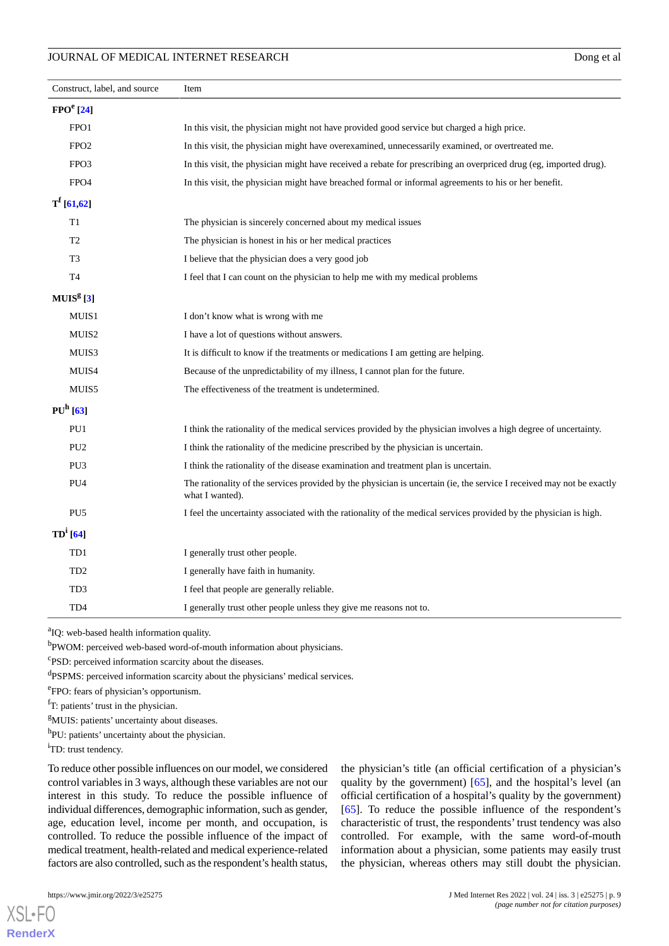| Construct, label, and source | Item                                                                                                                                     |
|------------------------------|------------------------------------------------------------------------------------------------------------------------------------------|
| FPO <sup>e</sup> [24]        |                                                                                                                                          |
| FPO1                         | In this visit, the physician might not have provided good service but charged a high price.                                              |
| FPO <sub>2</sub>             | In this visit, the physician might have overexamined, unnecessarily examined, or overtreated me.                                         |
| FPO <sub>3</sub>             | In this visit, the physician might have received a rebate for prescribing an overpriced drug (eg, imported drug).                        |
| FPO <sub>4</sub>             | In this visit, the physician might have breached formal or informal agreements to his or her benefit.                                    |
| $T^{f}$ [61,62]              |                                                                                                                                          |
| T1                           | The physician is sincerely concerned about my medical issues                                                                             |
| T <sub>2</sub>               | The physician is honest in his or her medical practices                                                                                  |
| T3                           | I believe that the physician does a very good job                                                                                        |
| T4                           | I feel that I can count on the physician to help me with my medical problems                                                             |
| MUIS <sup>g</sup> [3]        |                                                                                                                                          |
| MUIS1                        | I don't know what is wrong with me                                                                                                       |
| MUIS2                        | I have a lot of questions without answers.                                                                                               |
| MUIS3                        | It is difficult to know if the treatments or medications I am getting are helping.                                                       |
| MUIS4                        | Because of the unpredictability of my illness, I cannot plan for the future.                                                             |
| MUIS5                        | The effectiveness of the treatment is undetermined.                                                                                      |
| $PUh$ [63]                   |                                                                                                                                          |
| PU1                          | I think the rationality of the medical services provided by the physician involves a high degree of uncertainty.                         |
| PU <sub>2</sub>              | I think the rationality of the medicine prescribed by the physician is uncertain.                                                        |
| PU <sub>3</sub>              | I think the rationality of the disease examination and treatment plan is uncertain.                                                      |
| PU4                          | The rationality of the services provided by the physician is uncertain (ie, the service I received may not be exactly<br>what I wanted). |
| PU <sub>5</sub>              | I feel the uncertainty associated with the rationality of the medical services provided by the physician is high.                        |
| $TD^i$ [64]                  |                                                                                                                                          |
| TD1                          | I generally trust other people.                                                                                                          |
| TD <sub>2</sub>              | I generally have faith in humanity.                                                                                                      |
| TD <sub>3</sub>              | I feel that people are generally reliable.                                                                                               |
| TD <sub>4</sub>              | I generally trust other people unless they give me reasons not to.                                                                       |

<sup>a</sup>IQ: web-based health information quality.

<sup>b</sup>PWOM: perceived web-based word-of-mouth information about physicians.

c PSD: perceived information scarcity about the diseases.

dPSPMS: perceived information scarcity about the physicians' medical services.

e FPO: fears of physician's opportunism.

 $<sup>f</sup>T$ : patients' trust in the physician.</sup>

<sup>g</sup>MUIS: patients' uncertainty about diseases.

h<sub>PU</sub>: patients' uncertainty about the physician.

<sup>i</sup>TD: trust tendency.

To reduce other possible influences on our model, we considered control variables in 3 ways, although these variables are not our interest in this study. To reduce the possible influence of individual differences, demographic information, such as gender, age, education level, income per month, and occupation, is controlled. To reduce the possible influence of the impact of medical treatment, health-related and medical experience-related factors are also controlled, such as the respondent's health status,

[XSL](http://www.w3.org/Style/XSL)•FO **[RenderX](http://www.renderx.com/)** the physician's title (an official certification of a physician's quality by the government) [\[65](#page-21-17)], and the hospital's level (an official certification of a hospital's quality by the government) [[65\]](#page-21-17). To reduce the possible influence of the respondent's characteristic of trust, the respondents' trust tendency was also controlled. For example, with the same word-of-mouth information about a physician, some patients may easily trust the physician, whereas others may still doubt the physician.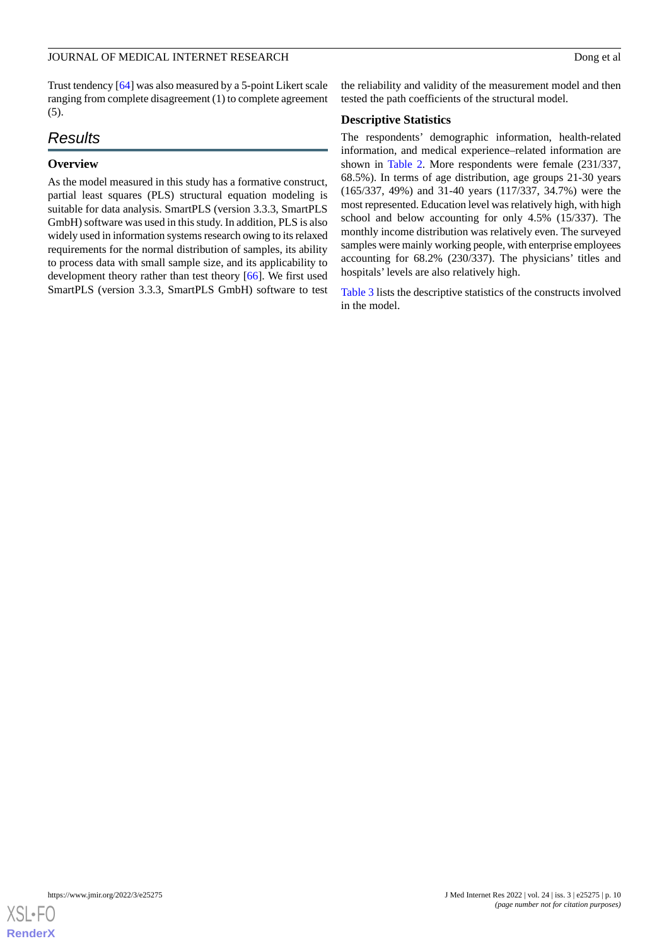Trust tendency [\[64](#page-21-16)] was also measured by a 5-point Likert scale ranging from complete disagreement (1) to complete agreement  $(5)$ .

### *Results*

### **Overview**

As the model measured in this study has a formative construct, partial least squares (PLS) structural equation modeling is suitable for data analysis. SmartPLS (version 3.3.3, SmartPLS GmbH) software was used in this study. In addition, PLS is also widely used in information systems research owing to its relaxed requirements for the normal distribution of samples, its ability to process data with small sample size, and its applicability to development theory rather than test theory [[66\]](#page-21-18). We first used SmartPLS (version 3.3.3, SmartPLS GmbH) software to test

the reliability and validity of the measurement model and then tested the path coefficients of the structural model.

### **Descriptive Statistics**

The respondents' demographic information, health-related information, and medical experience–related information are shown in [Table 2.](#page-10-0) More respondents were female (231/337, 68.5%). In terms of age distribution, age groups 21-30 years (165/337, 49%) and 31-40 years (117/337, 34.7%) were the most represented. Education level was relatively high, with high school and below accounting for only 4.5% (15/337). The monthly income distribution was relatively even. The surveyed samples were mainly working people, with enterprise employees accounting for 68.2% (230/337). The physicians' titles and hospitals' levels are also relatively high.

[Table 3](#page-12-0) lists the descriptive statistics of the constructs involved in the model.

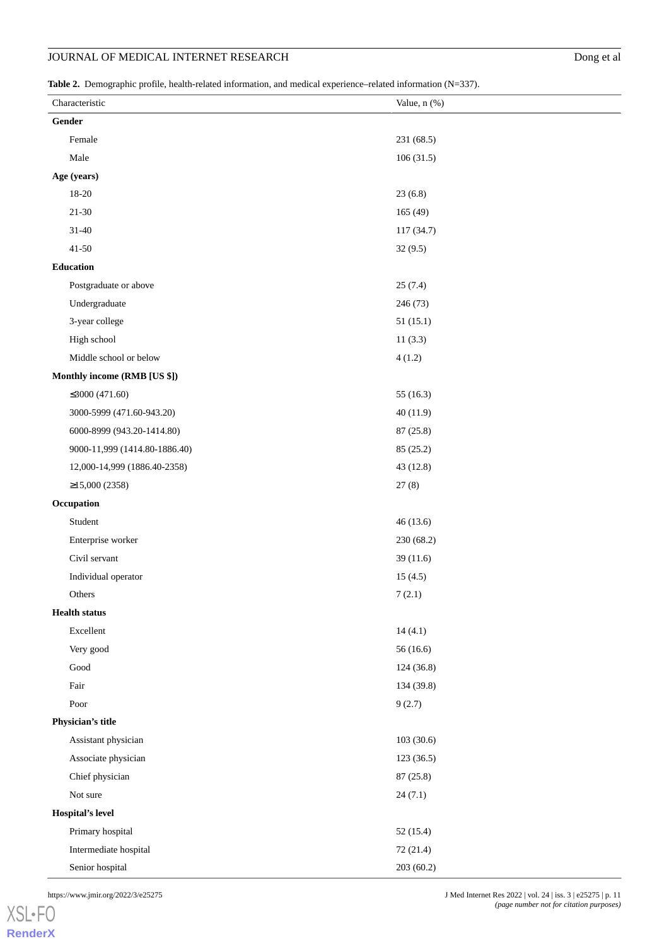<span id="page-10-0"></span>**Table 2.** Demographic profile, health-related information, and medical experience–related information (N=337).

| Gender<br>Female<br>231 (68.5)<br>Male<br>106(31.5)<br>Age (years)<br>$18 - 20$<br>23(6.8)<br>$21 - 30$<br>165 (49)<br>$31 - 40$<br>117 (34.7)<br>$41 - 50$<br>32(9.5)<br>Education<br>Postgraduate or above<br>25(7.4)<br>Undergraduate<br>246 (73)<br>3-year college<br>51(15.1)<br>High school<br>11(3.3)<br>Middle school or below<br>4(1.2)<br>Monthly income (RMB [US \$])<br>≤3000 (471.60)<br>55 (16.3)<br>3000-5999 (471.60-943.20)<br>40(11.9)<br>6000-8999 (943.20-1414.80)<br>87 (25.8)<br>9000-11,999 (1414.80-1886.40)<br>85 (25.2)<br>12,000-14,999 (1886.40-2358)<br>43 (12.8)<br>$≥15,000(2358)$<br>27(8)<br>Occupation<br>Student<br>46(13.6)<br>Enterprise worker<br>230 (68.2)<br>Civil servant<br>39(11.6)<br>Individual operator<br>15(4.5)<br>Others<br>7(2.1)<br><b>Health status</b><br>Excellent<br>14(4.1)<br>Very good<br>56(16.6)<br>$\operatorname{Good}$<br>124(36.8)<br>Fair<br>134 (39.8)<br>Poor<br>9(2.7)<br>Physician's title<br>Assistant physician<br>103(30.6)<br>Associate physician<br>123(36.5)<br>Chief physician<br>87 (25.8)<br>Not sure<br>24(7.1)<br>Hospital's level<br>Primary hospital<br>52(15.4)<br>Intermediate hospital<br>72 (21.4)<br>Senior hospital<br>203(60.2) | Characteristic | Value, n (%) |
|----------------------------------------------------------------------------------------------------------------------------------------------------------------------------------------------------------------------------------------------------------------------------------------------------------------------------------------------------------------------------------------------------------------------------------------------------------------------------------------------------------------------------------------------------------------------------------------------------------------------------------------------------------------------------------------------------------------------------------------------------------------------------------------------------------------------------------------------------------------------------------------------------------------------------------------------------------------------------------------------------------------------------------------------------------------------------------------------------------------------------------------------------------------------------------------------------------------------------|----------------|--------------|
|                                                                                                                                                                                                                                                                                                                                                                                                                                                                                                                                                                                                                                                                                                                                                                                                                                                                                                                                                                                                                                                                                                                                                                                                                            |                |              |
|                                                                                                                                                                                                                                                                                                                                                                                                                                                                                                                                                                                                                                                                                                                                                                                                                                                                                                                                                                                                                                                                                                                                                                                                                            |                |              |
|                                                                                                                                                                                                                                                                                                                                                                                                                                                                                                                                                                                                                                                                                                                                                                                                                                                                                                                                                                                                                                                                                                                                                                                                                            |                |              |
|                                                                                                                                                                                                                                                                                                                                                                                                                                                                                                                                                                                                                                                                                                                                                                                                                                                                                                                                                                                                                                                                                                                                                                                                                            |                |              |
|                                                                                                                                                                                                                                                                                                                                                                                                                                                                                                                                                                                                                                                                                                                                                                                                                                                                                                                                                                                                                                                                                                                                                                                                                            |                |              |
|                                                                                                                                                                                                                                                                                                                                                                                                                                                                                                                                                                                                                                                                                                                                                                                                                                                                                                                                                                                                                                                                                                                                                                                                                            |                |              |
|                                                                                                                                                                                                                                                                                                                                                                                                                                                                                                                                                                                                                                                                                                                                                                                                                                                                                                                                                                                                                                                                                                                                                                                                                            |                |              |
|                                                                                                                                                                                                                                                                                                                                                                                                                                                                                                                                                                                                                                                                                                                                                                                                                                                                                                                                                                                                                                                                                                                                                                                                                            |                |              |
|                                                                                                                                                                                                                                                                                                                                                                                                                                                                                                                                                                                                                                                                                                                                                                                                                                                                                                                                                                                                                                                                                                                                                                                                                            |                |              |
|                                                                                                                                                                                                                                                                                                                                                                                                                                                                                                                                                                                                                                                                                                                                                                                                                                                                                                                                                                                                                                                                                                                                                                                                                            |                |              |
|                                                                                                                                                                                                                                                                                                                                                                                                                                                                                                                                                                                                                                                                                                                                                                                                                                                                                                                                                                                                                                                                                                                                                                                                                            |                |              |
|                                                                                                                                                                                                                                                                                                                                                                                                                                                                                                                                                                                                                                                                                                                                                                                                                                                                                                                                                                                                                                                                                                                                                                                                                            |                |              |
|                                                                                                                                                                                                                                                                                                                                                                                                                                                                                                                                                                                                                                                                                                                                                                                                                                                                                                                                                                                                                                                                                                                                                                                                                            |                |              |
|                                                                                                                                                                                                                                                                                                                                                                                                                                                                                                                                                                                                                                                                                                                                                                                                                                                                                                                                                                                                                                                                                                                                                                                                                            |                |              |
|                                                                                                                                                                                                                                                                                                                                                                                                                                                                                                                                                                                                                                                                                                                                                                                                                                                                                                                                                                                                                                                                                                                                                                                                                            |                |              |
|                                                                                                                                                                                                                                                                                                                                                                                                                                                                                                                                                                                                                                                                                                                                                                                                                                                                                                                                                                                                                                                                                                                                                                                                                            |                |              |
|                                                                                                                                                                                                                                                                                                                                                                                                                                                                                                                                                                                                                                                                                                                                                                                                                                                                                                                                                                                                                                                                                                                                                                                                                            |                |              |
|                                                                                                                                                                                                                                                                                                                                                                                                                                                                                                                                                                                                                                                                                                                                                                                                                                                                                                                                                                                                                                                                                                                                                                                                                            |                |              |
|                                                                                                                                                                                                                                                                                                                                                                                                                                                                                                                                                                                                                                                                                                                                                                                                                                                                                                                                                                                                                                                                                                                                                                                                                            |                |              |
|                                                                                                                                                                                                                                                                                                                                                                                                                                                                                                                                                                                                                                                                                                                                                                                                                                                                                                                                                                                                                                                                                                                                                                                                                            |                |              |
|                                                                                                                                                                                                                                                                                                                                                                                                                                                                                                                                                                                                                                                                                                                                                                                                                                                                                                                                                                                                                                                                                                                                                                                                                            |                |              |
|                                                                                                                                                                                                                                                                                                                                                                                                                                                                                                                                                                                                                                                                                                                                                                                                                                                                                                                                                                                                                                                                                                                                                                                                                            |                |              |
|                                                                                                                                                                                                                                                                                                                                                                                                                                                                                                                                                                                                                                                                                                                                                                                                                                                                                                                                                                                                                                                                                                                                                                                                                            |                |              |
|                                                                                                                                                                                                                                                                                                                                                                                                                                                                                                                                                                                                                                                                                                                                                                                                                                                                                                                                                                                                                                                                                                                                                                                                                            |                |              |
|                                                                                                                                                                                                                                                                                                                                                                                                                                                                                                                                                                                                                                                                                                                                                                                                                                                                                                                                                                                                                                                                                                                                                                                                                            |                |              |
|                                                                                                                                                                                                                                                                                                                                                                                                                                                                                                                                                                                                                                                                                                                                                                                                                                                                                                                                                                                                                                                                                                                                                                                                                            |                |              |
|                                                                                                                                                                                                                                                                                                                                                                                                                                                                                                                                                                                                                                                                                                                                                                                                                                                                                                                                                                                                                                                                                                                                                                                                                            |                |              |
|                                                                                                                                                                                                                                                                                                                                                                                                                                                                                                                                                                                                                                                                                                                                                                                                                                                                                                                                                                                                                                                                                                                                                                                                                            |                |              |
|                                                                                                                                                                                                                                                                                                                                                                                                                                                                                                                                                                                                                                                                                                                                                                                                                                                                                                                                                                                                                                                                                                                                                                                                                            |                |              |
|                                                                                                                                                                                                                                                                                                                                                                                                                                                                                                                                                                                                                                                                                                                                                                                                                                                                                                                                                                                                                                                                                                                                                                                                                            |                |              |
|                                                                                                                                                                                                                                                                                                                                                                                                                                                                                                                                                                                                                                                                                                                                                                                                                                                                                                                                                                                                                                                                                                                                                                                                                            |                |              |
|                                                                                                                                                                                                                                                                                                                                                                                                                                                                                                                                                                                                                                                                                                                                                                                                                                                                                                                                                                                                                                                                                                                                                                                                                            |                |              |
|                                                                                                                                                                                                                                                                                                                                                                                                                                                                                                                                                                                                                                                                                                                                                                                                                                                                                                                                                                                                                                                                                                                                                                                                                            |                |              |
|                                                                                                                                                                                                                                                                                                                                                                                                                                                                                                                                                                                                                                                                                                                                                                                                                                                                                                                                                                                                                                                                                                                                                                                                                            |                |              |
|                                                                                                                                                                                                                                                                                                                                                                                                                                                                                                                                                                                                                                                                                                                                                                                                                                                                                                                                                                                                                                                                                                                                                                                                                            |                |              |
|                                                                                                                                                                                                                                                                                                                                                                                                                                                                                                                                                                                                                                                                                                                                                                                                                                                                                                                                                                                                                                                                                                                                                                                                                            |                |              |
|                                                                                                                                                                                                                                                                                                                                                                                                                                                                                                                                                                                                                                                                                                                                                                                                                                                                                                                                                                                                                                                                                                                                                                                                                            |                |              |
|                                                                                                                                                                                                                                                                                                                                                                                                                                                                                                                                                                                                                                                                                                                                                                                                                                                                                                                                                                                                                                                                                                                                                                                                                            |                |              |
|                                                                                                                                                                                                                                                                                                                                                                                                                                                                                                                                                                                                                                                                                                                                                                                                                                                                                                                                                                                                                                                                                                                                                                                                                            |                |              |
|                                                                                                                                                                                                                                                                                                                                                                                                                                                                                                                                                                                                                                                                                                                                                                                                                                                                                                                                                                                                                                                                                                                                                                                                                            |                |              |
|                                                                                                                                                                                                                                                                                                                                                                                                                                                                                                                                                                                                                                                                                                                                                                                                                                                                                                                                                                                                                                                                                                                                                                                                                            |                |              |
|                                                                                                                                                                                                                                                                                                                                                                                                                                                                                                                                                                                                                                                                                                                                                                                                                                                                                                                                                                                                                                                                                                                                                                                                                            |                |              |
|                                                                                                                                                                                                                                                                                                                                                                                                                                                                                                                                                                                                                                                                                                                                                                                                                                                                                                                                                                                                                                                                                                                                                                                                                            |                |              |

[XSL](http://www.w3.org/Style/XSL)•FO **[RenderX](http://www.renderx.com/)**

https://www.jmir.org/2022/3/e25275 | p. 11 *(page number not for citation purposes)*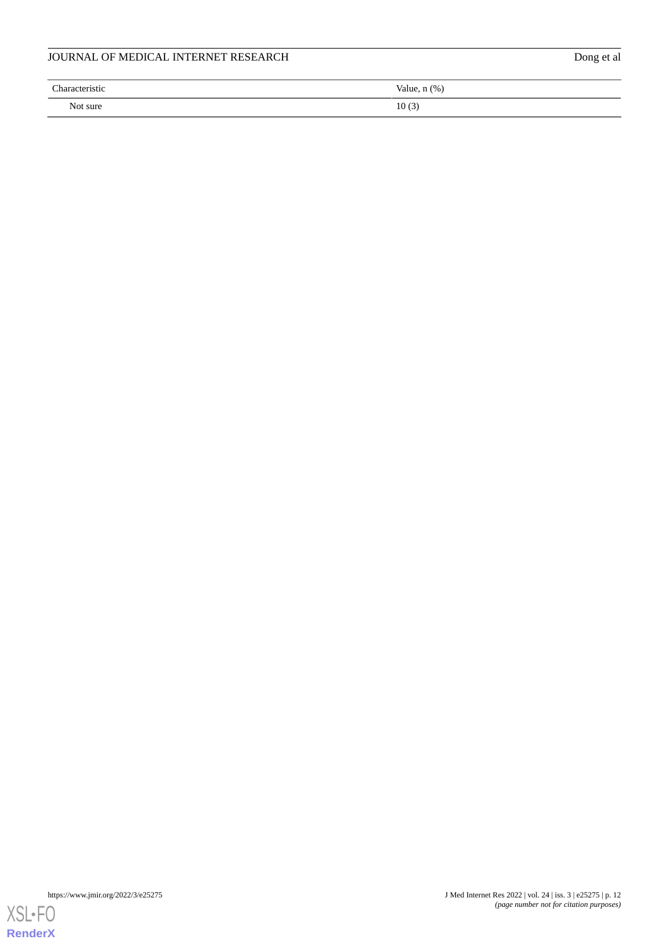| JOURNAL OF MEDICAL INTERNET RESEARCH |                   |  |  |  |
|--------------------------------------|-------------------|--|--|--|
| Characteristic                       | Value, $n$ $(\%)$ |  |  |  |
| Not sure                             | 10(3)             |  |  |  |

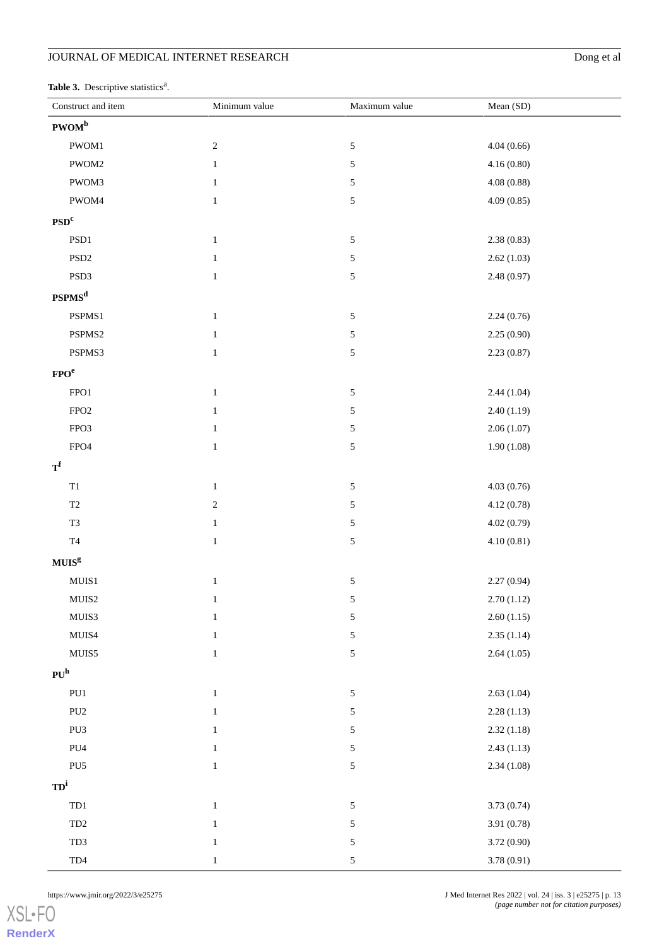<span id="page-12-0"></span>Table 3. Descriptive statistics<sup>a</sup>.

| Construct and item    | Minimum value | Maximum value | Mean (SD)   |
|-----------------------|---------------|---------------|-------------|
| PWOM <sup>b</sup>     |               |               |             |
| PWOM1                 | $\sqrt{2}$    | $\mathfrak s$ | 4.04(0.66)  |
| PWOM2                 | $\mathbf{1}$  | 5             | 4.16(0.80)  |
| PWOM3                 | $\mathbf{1}$  | 5             | 4.08(0.88)  |
| PWOM4                 | $\mathbf{1}$  | 5             | 4.09(0.85)  |
| PSD <sup>c</sup>      |               |               |             |
| $\operatorname{PSD1}$ | $\,1\,$       | $\mathfrak s$ | 2.38(0.83)  |
| $\mathrm{PSD}2$       | $\,1\,$       | 5             | 2.62(1.03)  |
| PSD3                  | $\,1\,$       | 5             | 2.48(0.97)  |
| PSPMS <sup>d</sup>    |               |               |             |
| PSPMS1                | $\mathbf{1}$  | $\mathfrak s$ | 2.24(0.76)  |
| PSPMS2                | $\,1\,$       | $\mathfrak s$ | 2.25(0.90)  |
| PSPMS3                | $\,1\,$       | 5             | 2.23(0.87)  |
| FPO <sup>e</sup>      |               |               |             |
| ${\rm FPO1}$          | $\,1\,$       | $\mathfrak s$ | 2.44(1.04)  |
| FPO <sub>2</sub>      | $\,1\,$       | $\mathfrak s$ | 2.40(1.19)  |
| FPO3                  | $\,1\,$       | 5             | 2.06(1.07)  |
| FPO <sub>4</sub>      | $\,1\,$       | 5             | 1.90(1.08)  |
| $T^{f}$               |               |               |             |
| $\mathbf{T}1$         | $\,1\,$       | 5             | 4.03(0.76)  |
| $\mathbf{T}2$         | $\sqrt{2}$    | 5             | 4.12(0.78)  |
| T <sub>3</sub>        | $\mathbf{1}$  | 5             | 4.02(0.79)  |
| $\operatorname{T4}$   | $\,1\,$       | 5             | 4.10(0.81)  |
| $MUISg$               |               |               |             |
| ${\bf MUIS1}$         | $\,1\,$       | $\sqrt{5}$    | 2.27(0.94)  |
| ${\rm MUIS2}$         | $\mathbf{1}$  | 5             | 2.70(1.12)  |
| ${\rm MUIS3}$         | $\mathbf{1}$  | $\sqrt{5}$    | 2.60(1.15)  |
| MUIS4                 | $\,1\,$       | 5             | 2.35(1.14)  |
| ${\rm MUIS5}$         | $\,1\,$       | 5             | 2.64(1.05)  |
| PU <sup>h</sup>       |               |               |             |
| PU1                   | $\,1\,$       | $\sqrt{5}$    | 2.63(1.04)  |
| PU <sub>2</sub>       | $\mathbf{1}$  | $\sqrt{5}$    | 2.28(1.13)  |
| PU3                   | $\,1\,$       | 5             | 2.32(1.18)  |
| PU4                   | $\,1\,$       | 5             | 2.43(1.13)  |
| PU <sub>5</sub>       | $\,1\,$       | 5             | 2.34(1.08)  |
| $TD^i$                |               |               |             |
| TD1                   | $\,1\,$       | $\sqrt{5}$    | 3.73(0.74)  |
| $\mbox{TD2}$          | $\,1\,$       | 5             | 3.91 (0.78) |
| TD3                   | $\mathbf{1}$  | 5             | 3.72 (0.90) |
| TD4                   | $\mathbf{1}$  | $\sqrt{5}$    | 3.78(0.91)  |

[XSL](http://www.w3.org/Style/XSL)•FO **[RenderX](http://www.renderx.com/)**

https://www.jmir.org/2022/3/e25275 | p. 13 *(page number not for citation purposes)*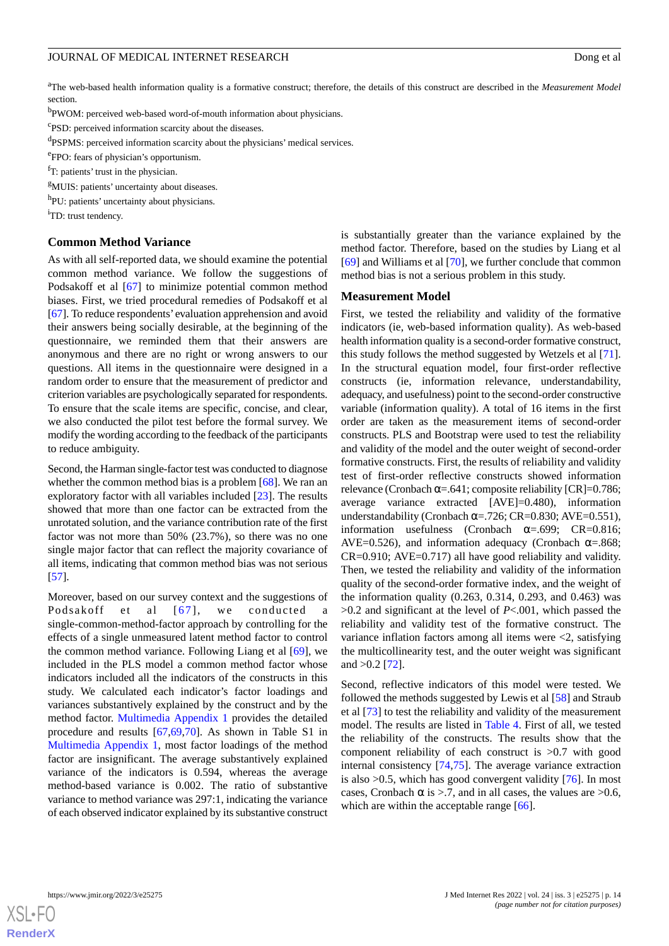<sup>a</sup>The web-based health information quality is a formative construct; therefore, the details of this construct are described in the *Measurement Model* section.

<sup>b</sup>PWOM: perceived web-based word-of-mouth information about physicians.

c PSD: perceived information scarcity about the diseases.

<sup>d</sup>PSPMS: perceived information scarcity about the physicians' medical services.

e FPO: fears of physician's opportunism.

 $<sup>f</sup>T$ : patients' trust in the physician.</sup>

<sup>g</sup>MUIS: patients' uncertainty about diseases.

h<sub>PU</sub>: patients' uncertainty about physicians.

<sup>i</sup>TD: trust tendency.

#### **Common Method Variance**

As with all self-reported data, we should examine the potential common method variance. We follow the suggestions of Podsakoff et al [[67\]](#page-21-19) to minimize potential common method biases. First, we tried procedural remedies of Podsakoff et al [[67\]](#page-21-19). To reduce respondents' evaluation apprehension and avoid their answers being socially desirable, at the beginning of the questionnaire, we reminded them that their answers are anonymous and there are no right or wrong answers to our questions. All items in the questionnaire were designed in a random order to ensure that the measurement of predictor and criterion variables are psychologically separated for respondents. To ensure that the scale items are specific, concise, and clear, we also conducted the pilot test before the formal survey. We modify the wording according to the feedback of the participants to reduce ambiguity.

Second, the Harman single-factor test was conducted to diagnose whether the common method bias is a problem [[68\]](#page-21-20). We ran an exploratory factor with all variables included [[23\]](#page-20-2). The results showed that more than one factor can be extracted from the unrotated solution, and the variance contribution rate of the first factor was not more than 50% (23.7%), so there was no one single major factor that can reflect the majority covariance of all items, indicating that common method bias was not serious [[57\]](#page-21-9).

Moreover, based on our survey context and the suggestions of Podsakoff et al [[67](#page-21-19)], we conducted a single-common-method-factor approach by controlling for the effects of a single unmeasured latent method factor to control the common method variance. Following Liang et al [\[69](#page-21-21)], we included in the PLS model a common method factor whose indicators included all the indicators of the constructs in this study. We calculated each indicator's factor loadings and variances substantively explained by the construct and by the method factor. [Multimedia Appendix 1](#page-19-20) provides the detailed procedure and results [[67,](#page-21-19)[69](#page-21-21)[,70](#page-21-22)]. As shown in Table S1 in [Multimedia Appendix 1,](#page-19-20) most factor loadings of the method factor are insignificant. The average substantively explained variance of the indicators is 0.594, whereas the average method-based variance is 0.002. The ratio of substantive variance to method variance was 297:1, indicating the variance of each observed indicator explained by its substantive construct

is substantially greater than the variance explained by the method factor. Therefore, based on the studies by Liang et al [[69\]](#page-21-21) and Williams et al [\[70](#page-21-22)], we further conclude that common method bias is not a serious problem in this study.

### **Measurement Model**

First, we tested the reliability and validity of the formative indicators (ie, web-based information quality). As web-based health information quality is a second-order formative construct, this study follows the method suggested by Wetzels et al [[71\]](#page-21-23). In the structural equation model, four first-order reflective constructs (ie, information relevance, understandability, adequacy, and usefulness) point to the second-order constructive variable (information quality). A total of 16 items in the first order are taken as the measurement items of second-order constructs. PLS and Bootstrap were used to test the reliability and validity of the model and the outer weight of second-order formative constructs. First, the results of reliability and validity test of first-order reflective constructs showed information relevance (Cronbach  $\alpha = .641$ ; composite reliability [CR]=0.786; average variance extracted [AVE]=0.480), information understandability (Cronbach  $\alpha$ =.726; CR=0.830; AVE=0.551), information usefulness (Cronbach  $\alpha$ =.699; CR=0.816; AVE=0.526), and information adequacy (Cronbach  $\alpha$ =.868; CR=0.910; AVE=0.717) all have good reliability and validity. Then, we tested the reliability and validity of the information quality of the second-order formative index, and the weight of the information quality (0.263, 0.314, 0.293, and 0.463) was >0.2 and significant at the level of *P*<.001, which passed the reliability and validity test of the formative construct. The variance inflation factors among all items were <2, satisfying the multicollinearity test, and the outer weight was significant and  $>0.2$  [\[72](#page-21-24)].

Second, reflective indicators of this model were tested. We followed the methods suggested by Lewis et al [\[58](#page-21-10)] and Straub et al [\[73](#page-21-25)] to test the reliability and validity of the measurement model. The results are listed in [Table 4.](#page-14-0) First of all, we tested the reliability of the constructs. The results show that the component reliability of each construct is >0.7 with good internal consistency [[74](#page-21-26)[,75](#page-21-27)]. The average variance extraction is also  $>0.5$ , which has good convergent validity [[76\]](#page-22-0). In most cases, Cronbach  $\alpha$  is >.7, and in all cases, the values are >0.6, which are within the acceptable range [[66\]](#page-21-18).

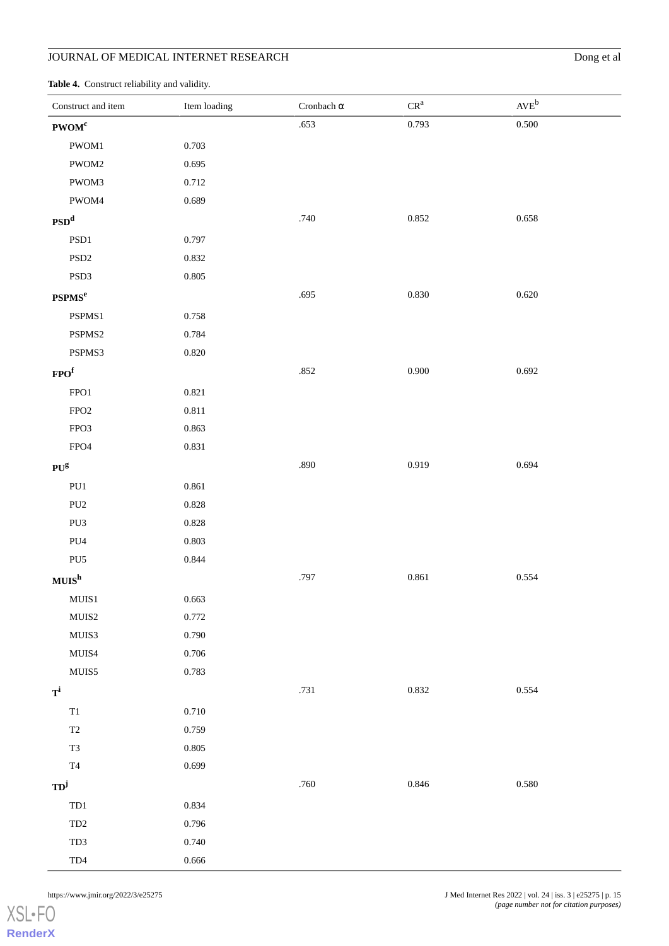<span id="page-14-0"></span>**Table 4.** Construct reliability and validity.

| Construct and item    | Item loading | Cronbach $\alpha$ | $CR^a$      | $AVE^{b}$ |
|-----------------------|--------------|-------------------|-------------|-----------|
| PWOM <sup>c</sup>     |              | .653              | 0.793       | 0.500     |
| PWOM1                 | 0.703        |                   |             |           |
| PWOM2                 | 0.695        |                   |             |           |
| PWOM3                 | 0.712        |                   |             |           |
| PWOM4                 | 0.689        |                   |             |           |
| PSD <sup>d</sup>      |              | .740              | 0.852       | 0.658     |
| PSD1                  | 0.797        |                   |             |           |
| $\mathrm{PSD}2$       | 0.832        |                   |             |           |
| $\rm{PSD}3$           | 0.805        |                   |             |           |
| PSPMS <sup>e</sup>    |              | .695              | 0.830       | 0.620     |
| PSPMS1                | 0.758        |                   |             |           |
| PSPMS2                | 0.784        |                   |             |           |
| PSPMS3                | $0.820\,$    |                   |             |           |
| FPO <sup>f</sup>      |              | $.852\,$          | 0.900       | 0.692     |
| FPO1                  | 0.821        |                   |             |           |
| ${\rm FPO2}$          | $0.811\,$    |                   |             |           |
| FPO3                  | 0.863        |                   |             |           |
| ${\rm FPO4}$          | 0.831        |                   |             |           |
| $PU^g$                |              | .890              | 0.919       | 0.694     |
| ${\bf P} {\bf U} 1$   | 0.861        |                   |             |           |
| ${\rm PU2}$           | 0.828        |                   |             |           |
| PU3                   | $0.828\,$    |                   |             |           |
| ${\rm PU4}$           | 0.803        |                   |             |           |
| PU <sub>5</sub>       | 0.844        |                   |             |           |
| $\textbf{MUIS}^h$     |              | .797              | $\,0.861\,$ | 0.554     |
| ${\bf MUIS1}$         | 0.663        |                   |             |           |
| ${\rm MUIS2}$         | 0.772        |                   |             |           |
| ${\rm MUIS3}$         | 0.790        |                   |             |           |
| MUIS4                 | 0.706        |                   |             |           |
| ${\rm MUIS5}$         | 0.783        |                   |             |           |
| $T^{i}$               |              | .731              | 0.832       | 0.554     |
| $\mathrm{T}1$         | 0.710        |                   |             |           |
| $\operatorname{T2}$   | 0.759        |                   |             |           |
| T <sub>3</sub>        | $0.805\,$    |                   |             |           |
| $\operatorname{T4}$   | 0.699        |                   |             |           |
| $TD^j$                |              | $.760$            | 0.846       | 0.580     |
| TD1                   | 0.834        |                   |             |           |
| $\rm TD2$             | 0.796        |                   |             |           |
| TD3                   | 0.740        |                   |             |           |
| $\text{T}\mathrm{D}4$ | 0.666        |                   |             |           |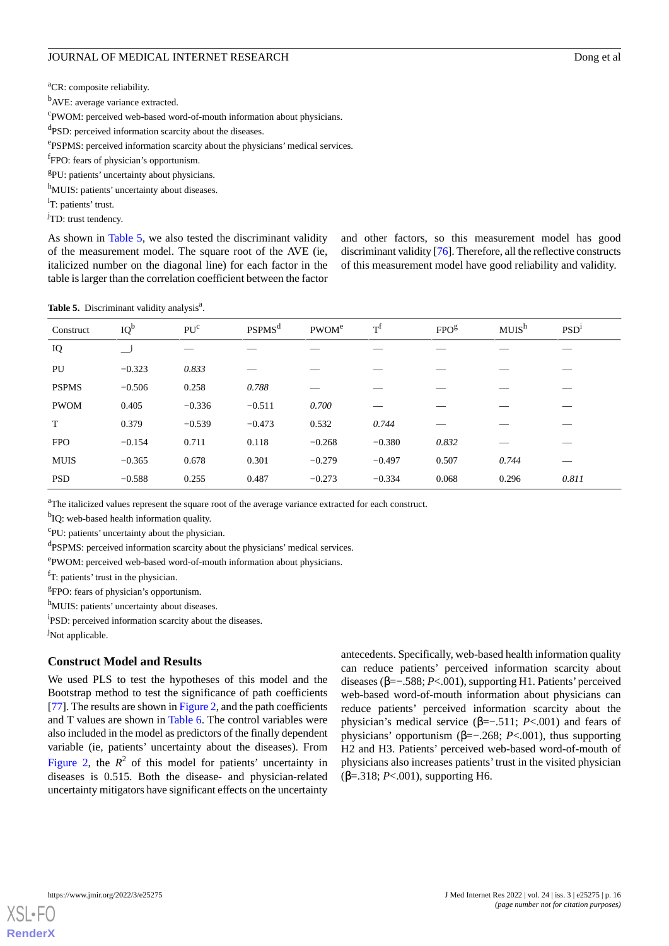<sup>a</sup>CR: composite reliability.

<sup>b</sup>AVE: average variance extracted.

c PWOM: perceived web-based word-of-mouth information about physicians.

<sup>d</sup>PSD: perceived information scarcity about the diseases.

ePSPMS: perceived information scarcity about the physicians' medical services.

f FPO: fears of physician's opportunism.

<sup>g</sup>PU: patients' uncertainty about physicians.

h<sub>MUIS</sub>: patients' uncertainty about diseases.

<sup>i</sup>T: patients' trust.

<sup>j</sup>TD: trust tendency.

As shown in [Table 5,](#page-15-0) we also tested the discriminant validity of the measurement model. The square root of the AVE (ie, italicized number on the diagonal line) for each factor in the table is larger than the correlation coefficient between the factor

and other factors, so this measurement model has good discriminant validity [\[76\]](#page-22-0). Therefore, all the reflective constructs of this measurement model have good reliability and validity.

<span id="page-15-0"></span>Table 5. Discriminant validity analysis<sup>a</sup>.

| Construct    | $IQ^b$                     | PU <sup>c</sup> | <b>PSPMS</b> <sup>d</sup> | PWOM <sup>e</sup> | $T^{f}$  | FPO <sup>g</sup> | MUIS <sup>h</sup> | PSD <sup>1</sup> |
|--------------|----------------------------|-----------------|---------------------------|-------------------|----------|------------------|-------------------|------------------|
| IQ           | $\overline{\phantom{a}}^j$ |                 |                           |                   |          |                  |                   |                  |
| PU           | $-0.323$                   | 0.833           |                           |                   |          |                  |                   |                  |
| <b>PSPMS</b> | $-0.506$                   | 0.258           | 0.788                     |                   |          |                  |                   |                  |
| <b>PWOM</b>  | 0.405                      | $-0.336$        | $-0.511$                  | 0.700             |          |                  |                   |                  |
| T            | 0.379                      | $-0.539$        | $-0.473$                  | 0.532             | 0.744    |                  |                   |                  |
| <b>FPO</b>   | $-0.154$                   | 0.711           | 0.118                     | $-0.268$          | $-0.380$ | 0.832            |                   |                  |
| <b>MUIS</b>  | $-0.365$                   | 0.678           | 0.301                     | $-0.279$          | $-0.497$ | 0.507            | 0.744             |                  |
| <b>PSD</b>   | $-0.588$                   | 0.255           | 0.487                     | $-0.273$          | $-0.334$ | 0.068            | 0.296             | 0.811            |

<sup>a</sup>The italicized values represent the square root of the average variance extracted for each construct.

<sup>b</sup>IQ: web-based health information quality.

<sup>c</sup>PU: patients' uncertainty about the physician.

<sup>d</sup>PSPMS: perceived information scarcity about the physicians' medical services.

e PWOM: perceived web-based word-of-mouth information about physicians.

 $<sup>f</sup>T$ : patients' trust in the physician.</sup>

<sup>g</sup>FPO: fears of physician's opportunism.

h<sub>MUIS</sub>: patients' uncertainty about diseases.

<sup>i</sup>PSD: perceived information scarcity about the diseases.

<sup>j</sup>Not applicable.

### **Construct Model and Results**

We used PLS to test the hypotheses of this model and the Bootstrap method to test the significance of path coefficients [[77\]](#page-22-1). The results are shown in [Figure 2](#page-16-0), and the path coefficients and T values are shown in [Table 6.](#page-16-1) The control variables were also included in the model as predictors of the finally dependent variable (ie, patients' uncertainty about the diseases). From [Figure 2](#page-16-0), the  $R^2$  of this model for patients' uncertainty in diseases is 0.515. Both the disease- and physician-related uncertainty mitigators have significant effects on the uncertainty

antecedents. Specifically, web-based health information quality can reduce patients' perceived information scarcity about diseases (β=−.588; *P*<.001), supporting H1. Patients'perceived web-based word-of-mouth information about physicians can reduce patients' perceived information scarcity about the physician's medical service (β=−.511; *P*<.001) and fears of physicians' opportunism (β=−.268; *P*<.001), thus supporting H2 and H3. Patients' perceived web-based word-of-mouth of physicians also increases patients'trust in the visited physician (β=.318; *P*<.001), supporting H6.

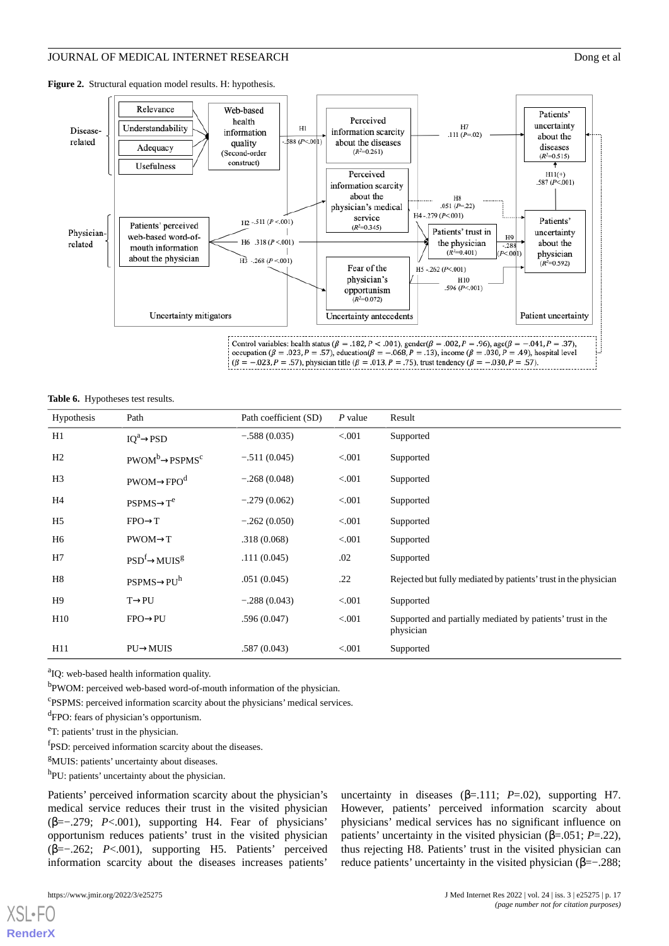<span id="page-16-0"></span>**Figure 2.** Structural equation model results. H: hypothesis.



#### <span id="page-16-1"></span>**Table 6.** Hypotheses test results.

| Hypothesis     | Path                         | Path coefficient (SD) | $P$ value | Result                                                                  |
|----------------|------------------------------|-----------------------|-----------|-------------------------------------------------------------------------|
| H1             | $IQ^a \rightarrow PSD$       | $-.588(0.035)$        | < 0.001   | Supported                                                               |
| H <sub>2</sub> | $PWOM^b \rightarrow PSPMS^c$ | $-.511(0.045)$        | < 0.001   | Supported                                                               |
| H <sub>3</sub> | $PWOM \rightarrow FPOd$      | $-.268(0.048)$        | < 0.001   | Supported                                                               |
| H4             | $PSPMS \rightarrow T^e$      | $-.279(0.062)$        | < 0.001   | Supported                                                               |
| H <sub>5</sub> | $FPO \rightarrow T$          | $-.262(0.050)$        | < 0.001   | Supported                                                               |
| H6             | $PWOM \rightarrow T$         | .318(0.068)           | < 0.001   | Supported                                                               |
| H7             | $PSD^f \rightarrow MUIS^g$   | .111(0.045)           | .02       | Supported                                                               |
| H8             | $PSPMS \rightarrow PU^h$     | .051(0.045)           | .22       | Rejected but fully mediated by patients' trust in the physician         |
| H9             | $T\rightarrow P U$           | $-.288(0.043)$        | < 0.001   | Supported                                                               |
| H10            | $FPO \rightarrow PU$         | .596(0.047)           | < 0.001   | Supported and partially mediated by patients' trust in the<br>physician |
| H11            | $PU \rightarrow MUIS$        | .587(0.043)           | < 0.001   | Supported                                                               |

<sup>a</sup>IQ: web-based health information quality.

<sup>b</sup>PWOM: perceived web-based word-of-mouth information of the physician.

c PSPMS: perceived information scarcity about the physicians' medical services.

<sup>d</sup>FPO: fears of physician's opportunism.

<sup>e</sup>T: patients' trust in the physician.

<sup>f</sup>PSD: perceived information scarcity about the diseases.

<sup>g</sup>MUIS: patients' uncertainty about diseases.

h<sub>PU</sub>: patients' uncertainty about the physician.

Patients' perceived information scarcity about the physician's medical service reduces their trust in the visited physician (β=−.279; *P*<.001), supporting H4. Fear of physicians' opportunism reduces patients' trust in the visited physician (β=−.262; *P*<.001), supporting H5. Patients' perceived information scarcity about the diseases increases patients'

uncertainty in diseases  $(\beta = .111; P = .02)$ , supporting H7. However, patients' perceived information scarcity about physicians' medical services has no significant influence on patients' uncertainty in the visited physician (β=.051; *P*=.22), thus rejecting H8. Patients' trust in the visited physician can reduce patients' uncertainty in the visited physician  $(\beta=-.288;$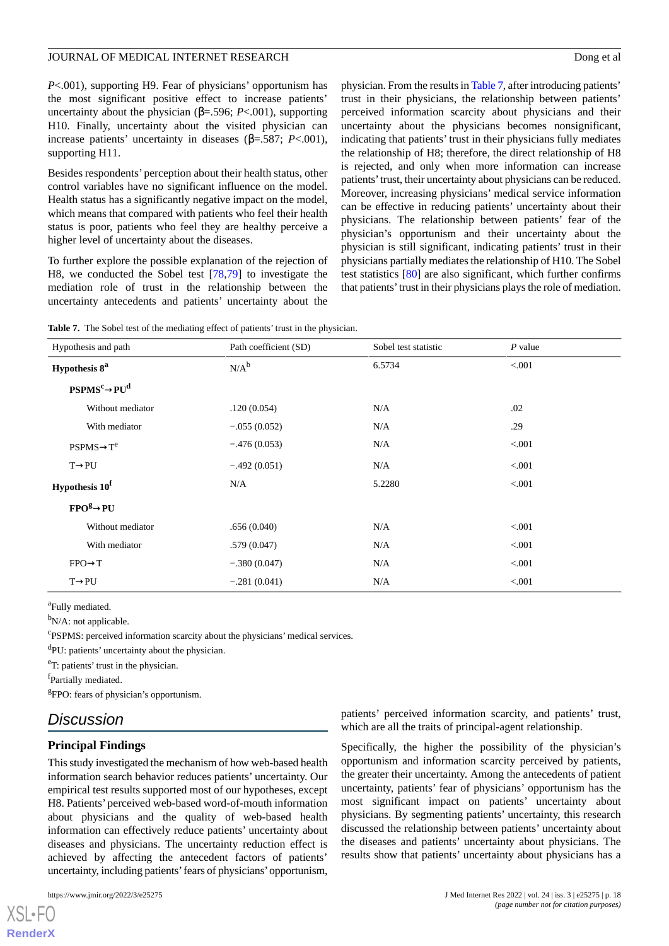### JOURNAL OF MEDICAL INTERNET RESEARCH DOURNAL OF MEDICAL INTERNET RESEARCH

*P*<.001), supporting H9. Fear of physicians' opportunism has the most significant positive effect to increase patients' uncertainty about the physician ( $β = .596$ ; *P*<.001), supporting H10. Finally, uncertainty about the visited physician can increase patients' uncertainty in diseases (β=.587; *P*<.001), supporting H11.

Besides respondents' perception about their health status, other control variables have no significant influence on the model. Health status has a significantly negative impact on the model, which means that compared with patients who feel their health status is poor, patients who feel they are healthy perceive a higher level of uncertainty about the diseases.

To further explore the possible explanation of the rejection of H8, we conducted the Sobel test [[78,](#page-22-2)[79\]](#page-22-3) to investigate the mediation role of trust in the relationship between the uncertainty antecedents and patients' uncertainty about the physician. From the results in [Table 7,](#page-17-0) after introducing patients' trust in their physicians, the relationship between patients' perceived information scarcity about physicians and their uncertainty about the physicians becomes nonsignificant, indicating that patients' trust in their physicians fully mediates the relationship of H8; therefore, the direct relationship of H8 is rejected, and only when more information can increase patients' trust, their uncertainty about physicians can be reduced. Moreover, increasing physicians' medical service information can be effective in reducing patients' uncertainty about their physicians. The relationship between patients' fear of the physician's opportunism and their uncertainty about the physician is still significant, indicating patients' trust in their physicians partially mediates the relationship of H10. The Sobel test statistics [\[80](#page-22-4)] are also significant, which further confirms that patients' trust in their physicians plays the role of mediation.

<span id="page-17-0"></span>**Table 7.** The Sobel test of the mediating effect of patients' trust in the physician.

| Hypothesis and path                          | Path coefficient (SD) | Sobel test statistic | $P$ value |
|----------------------------------------------|-----------------------|----------------------|-----------|
| Hypothesis 8 <sup>a</sup>                    | $N/A^b$               | 6.5734               | < 0.001   |
| $\mathbf{PSPMS}^c \rightarrow \mathbf{PU}^d$ |                       |                      |           |
| Without mediator                             | .120(0.054)           | N/A                  | .02       |
| With mediator                                | $-.055(0.052)$        | N/A                  | .29       |
| $PSPMS \rightarrow T^e$                      | $-.476(0.053)$        | N/A                  | < 0.001   |
| $T\rightarrow P U$                           | $-.492(0.051)$        | N/A                  | < 0.001   |
| Hypothesis 10 <sup>f</sup>                   | N/A                   | 5.2280               | < 0.001   |
| $FPOg\rightarrow PU$                         |                       |                      |           |
| Without mediator                             | .656(0.040)           | N/A                  | < 0.001   |
| With mediator                                | .579(0.047)           | N/A                  | < 0.001   |
| $FPO \rightarrow T$                          | $-.380(0.047)$        | N/A                  | < 0.001   |
| $T\rightarrow P U$                           | $-.281(0.041)$        | N/A                  | < 0.001   |

<sup>a</sup>Fully mediated.

<sup>b</sup>N/A: not applicable.

c PSPMS: perceived information scarcity about the physicians' medical services.

<sup>d</sup>PU: patients' uncertainty about the physician.

<sup>e</sup>T: patients' trust in the physician.

f<sub>Partially mediated.</sub>

<sup>g</sup>FPO: fears of physician's opportunism.

### *Discussion*

### **Principal Findings**

This study investigated the mechanism of how web-based health information search behavior reduces patients' uncertainty. Our empirical test results supported most of our hypotheses, except H8. Patients' perceived web-based word-of-mouth information about physicians and the quality of web-based health information can effectively reduce patients' uncertainty about diseases and physicians. The uncertainty reduction effect is achieved by affecting the antecedent factors of patients' uncertainty, including patients' fears of physicians' opportunism,

patients' perceived information scarcity, and patients' trust, which are all the traits of principal-agent relationship.

Specifically, the higher the possibility of the physician's opportunism and information scarcity perceived by patients, the greater their uncertainty. Among the antecedents of patient uncertainty, patients' fear of physicians' opportunism has the most significant impact on patients' uncertainty about physicians. By segmenting patients' uncertainty, this research discussed the relationship between patients' uncertainty about the diseases and patients' uncertainty about physicians. The results show that patients' uncertainty about physicians has a

```
XSI - F(RenderX
```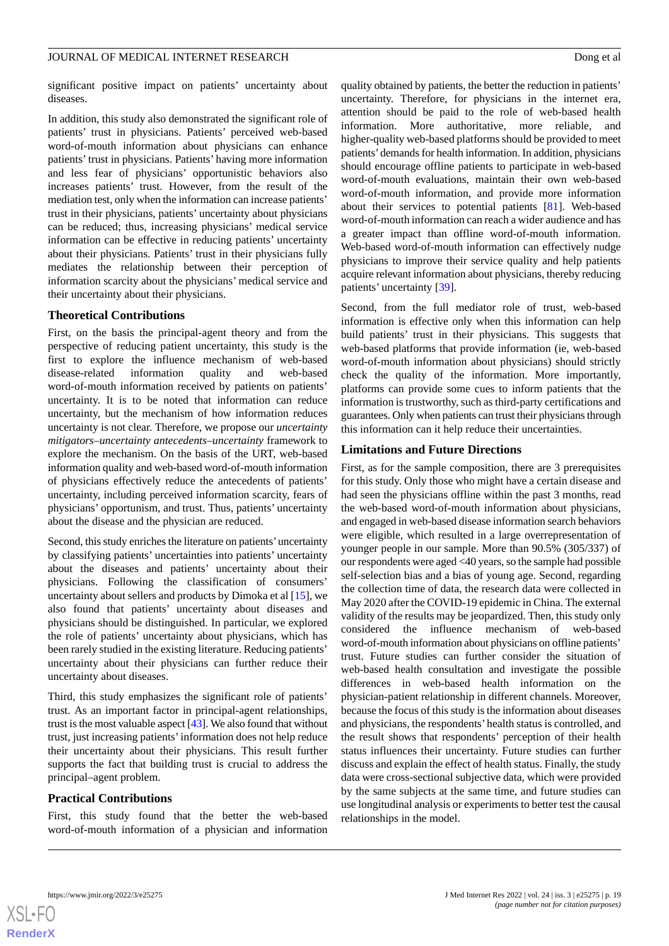significant positive impact on patients' uncertainty about diseases.

In addition, this study also demonstrated the significant role of patients' trust in physicians. Patients' perceived web-based word-of-mouth information about physicians can enhance patients' trust in physicians. Patients' having more information and less fear of physicians' opportunistic behaviors also increases patients' trust. However, from the result of the mediation test, only when the information can increase patients' trust in their physicians, patients' uncertainty about physicians can be reduced; thus, increasing physicians' medical service information can be effective in reducing patients' uncertainty about their physicians. Patients' trust in their physicians fully mediates the relationship between their perception of information scarcity about the physicians' medical service and their uncertainty about their physicians.

### **Theoretical Contributions**

First, on the basis the principal-agent theory and from the perspective of reducing patient uncertainty, this study is the first to explore the influence mechanism of web-based disease-related information quality and web-based word-of-mouth information received by patients on patients' uncertainty. It is to be noted that information can reduce uncertainty, but the mechanism of how information reduces uncertainty is not clear. Therefore, we propose our *uncertainty mitigators–uncertainty antecedents–uncertainty* framework to explore the mechanism. On the basis of the URT, web-based information quality and web-based word-of-mouth information of physicians effectively reduce the antecedents of patients' uncertainty, including perceived information scarcity, fears of physicians' opportunism, and trust. Thus, patients' uncertainty about the disease and the physician are reduced.

Second, this study enriches the literature on patients'uncertainty by classifying patients' uncertainties into patients' uncertainty about the diseases and patients' uncertainty about their physicians. Following the classification of consumers' uncertainty about sellers and products by Dimoka et al [\[15](#page-19-12)], we also found that patients' uncertainty about diseases and physicians should be distinguished. In particular, we explored the role of patients' uncertainty about physicians, which has been rarely studied in the existing literature. Reducing patients' uncertainty about their physicians can further reduce their uncertainty about diseases.

Third, this study emphasizes the significant role of patients' trust. As an important factor in principal-agent relationships, trust is the most valuable aspect [\[43\]](#page-20-22). We also found that without trust, just increasing patients'information does not help reduce their uncertainty about their physicians. This result further supports the fact that building trust is crucial to address the principal–agent problem.

### **Practical Contributions**

First, this study found that the better the web-based word-of-mouth information of a physician and information quality obtained by patients, the better the reduction in patients' uncertainty. Therefore, for physicians in the internet era, attention should be paid to the role of web-based health information. More authoritative, more reliable, and higher-quality web-based platforms should be provided to meet patients'demands for health information. In addition, physicians should encourage offline patients to participate in web-based word-of-mouth evaluations, maintain their own web-based word-of-mouth information, and provide more information about their services to potential patients [\[81](#page-22-5)]. Web-based word-of-mouth information can reach a wider audience and has a greater impact than offline word-of-mouth information. Web-based word-of-mouth information can effectively nudge physicians to improve their service quality and help patients acquire relevant information about physicians, thereby reducing patients' uncertainty [[39\]](#page-20-18).

Second, from the full mediator role of trust, web-based information is effective only when this information can help build patients' trust in their physicians. This suggests that web-based platforms that provide information (ie, web-based word-of-mouth information about physicians) should strictly check the quality of the information. More importantly, platforms can provide some cues to inform patients that the information is trustworthy, such as third-party certifications and guarantees. Only when patients can trust their physicians through this information can it help reduce their uncertainties.

### **Limitations and Future Directions**

First, as for the sample composition, there are 3 prerequisites for this study. Only those who might have a certain disease and had seen the physicians offline within the past 3 months, read the web-based word-of-mouth information about physicians, and engaged in web-based disease information search behaviors were eligible, which resulted in a large overrepresentation of younger people in our sample. More than 90.5% (305/337) of our respondents were aged <40 years, so the sample had possible self-selection bias and a bias of young age. Second, regarding the collection time of data, the research data were collected in May 2020 after the COVID-19 epidemic in China. The external validity of the results may be jeopardized. Then, this study only considered the influence mechanism of web-based word-of-mouth information about physicians on offline patients' trust. Future studies can further consider the situation of web-based health consultation and investigate the possible differences in web-based health information on the physician-patient relationship in different channels. Moreover, because the focus of this study is the information about diseases and physicians, the respondents' health status is controlled, and the result shows that respondents' perception of their health status influences their uncertainty. Future studies can further discuss and explain the effect of health status. Finally, the study data were cross-sectional subjective data, which were provided by the same subjects at the same time, and future studies can use longitudinal analysis or experiments to better test the causal relationships in the model.

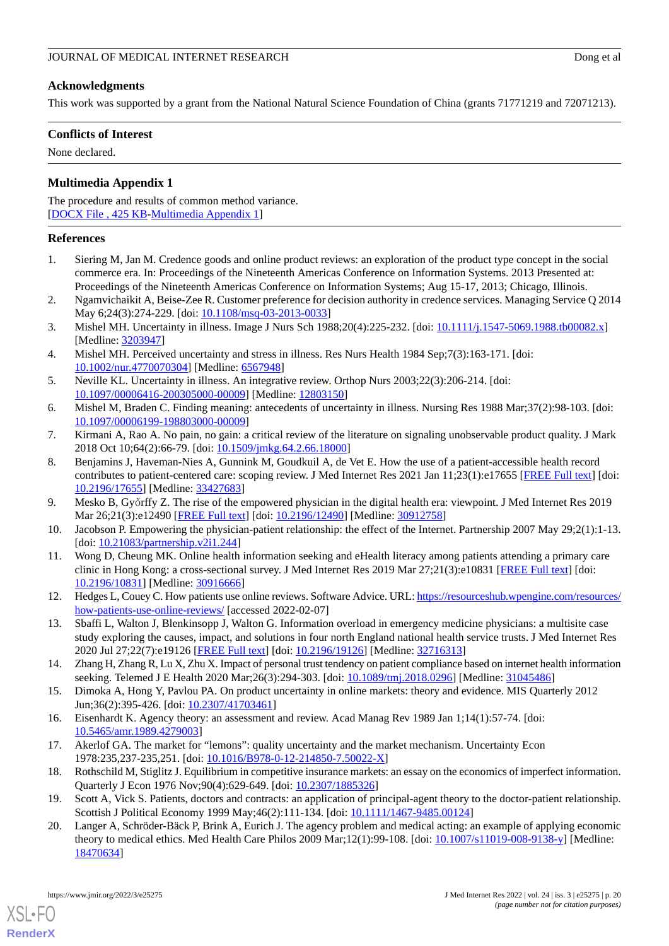### **Acknowledgments**

This work was supported by a grant from the National Natural Science Foundation of China (grants 71771219 and 72071213).

### **Conflicts of Interest**

<span id="page-19-20"></span>None declared.

### **Multimedia Appendix 1**

The procedure and results of common method variance. [[DOCX File , 425 KB-Multimedia Appendix 1\]](https://jmir.org/api/download?alt_name=jmir_v24i3e25275_app1.docx&filename=4582bd855558020a6d9c5840614239a7.docx)

### <span id="page-19-0"></span>**References**

- <span id="page-19-1"></span>1. Siering M, Jan M. Credence goods and online product reviews: an exploration of the product type concept in the social commerce era. In: Proceedings of the Nineteenth Americas Conference on Information Systems. 2013 Presented at: Proceedings of the Nineteenth Americas Conference on Information Systems; Aug 15-17, 2013; Chicago, Illinois.
- <span id="page-19-2"></span>2. Ngamvichaikit A, Beise-Zee R. Customer preference for decision authority in credence services. Managing Service Q 2014 May 6;24(3):274-229. [doi: [10.1108/msq-03-2013-0033](http://dx.doi.org/10.1108/msq-03-2013-0033)]
- <span id="page-19-18"></span>3. Mishel MH. Uncertainty in illness. Image J Nurs Sch 1988;20(4):225-232. [doi: [10.1111/j.1547-5069.1988.tb00082.x\]](http://dx.doi.org/10.1111/j.1547-5069.1988.tb00082.x) [Medline: [3203947\]](http://www.ncbi.nlm.nih.gov/entrez/query.fcgi?cmd=Retrieve&db=PubMed&list_uids=3203947&dopt=Abstract)
- <span id="page-19-19"></span><span id="page-19-3"></span>4. Mishel MH. Perceived uncertainty and stress in illness. Res Nurs Health 1984 Sep;7(3):163-171. [doi: [10.1002/nur.4770070304](http://dx.doi.org/10.1002/nur.4770070304)] [Medline: [6567948\]](http://www.ncbi.nlm.nih.gov/entrez/query.fcgi?cmd=Retrieve&db=PubMed&list_uids=6567948&dopt=Abstract)
- <span id="page-19-4"></span>5. Neville KL. Uncertainty in illness. An integrative review. Orthop Nurs 2003;22(3):206-214. [doi: [10.1097/00006416-200305000-00009](http://dx.doi.org/10.1097/00006416-200305000-00009)] [Medline: [12803150](http://www.ncbi.nlm.nih.gov/entrez/query.fcgi?cmd=Retrieve&db=PubMed&list_uids=12803150&dopt=Abstract)]
- <span id="page-19-5"></span>6. Mishel M, Braden C. Finding meaning: antecedents of uncertainty in illness. Nursing Res 1988 Mar;37(2):98-103. [doi: [10.1097/00006199-198803000-00009](http://dx.doi.org/10.1097/00006199-198803000-00009)]
- 7. Kirmani A, Rao A. No pain, no gain: a critical review of the literature on signaling unobservable product quality. J Mark 2018 Oct 10;64(2):66-79. [doi: [10.1509/jmkg.64.2.66.18000\]](http://dx.doi.org/10.1509/jmkg.64.2.66.18000)
- <span id="page-19-7"></span><span id="page-19-6"></span>8. Benjamins J, Haveman-Nies A, Gunnink M, Goudkuil A, de Vet E. How the use of a patient-accessible health record contributes to patient-centered care: scoping review. J Med Internet Res 2021 Jan 11;23(1):e17655 [\[FREE Full text\]](https://www.jmir.org/2021/1/e17655/) [doi: [10.2196/17655\]](http://dx.doi.org/10.2196/17655) [Medline: [33427683\]](http://www.ncbi.nlm.nih.gov/entrez/query.fcgi?cmd=Retrieve&db=PubMed&list_uids=33427683&dopt=Abstract)
- <span id="page-19-8"></span>9. Mesko B, Győrffy Z. The rise of the empowered physician in the digital health era: viewpoint. J Med Internet Res 2019 Mar 26;21(3):e12490 [\[FREE Full text\]](https://www.jmir.org/2019/3/e12490/) [doi: [10.2196/12490](http://dx.doi.org/10.2196/12490)] [Medline: [30912758\]](http://www.ncbi.nlm.nih.gov/entrez/query.fcgi?cmd=Retrieve&db=PubMed&list_uids=30912758&dopt=Abstract)
- <span id="page-19-9"></span>10. Jacobson P. Empowering the physician-patient relationship: the effect of the Internet. Partnership 2007 May 29;2(1):1-13. [doi: [10.21083/partnership.v2i1.244\]](http://dx.doi.org/10.21083/partnership.v2i1.244)
- <span id="page-19-10"></span>11. Wong D, Cheung MK. Online health information seeking and eHealth literacy among patients attending a primary care clinic in Hong Kong: a cross-sectional survey. J Med Internet Res 2019 Mar 27;21(3):e10831 [\[FREE Full text\]](https://www.jmir.org/2019/3/e10831/) [doi: [10.2196/10831\]](http://dx.doi.org/10.2196/10831) [Medline: [30916666\]](http://www.ncbi.nlm.nih.gov/entrez/query.fcgi?cmd=Retrieve&db=PubMed&list_uids=30916666&dopt=Abstract)
- <span id="page-19-11"></span>12. Hedges L, Couey C. How patients use online reviews. Software Advice. URL: [https://resourceshub.wpengine.com/resources/](https://resourceshub.wpengine.com/resources/how-patients-use-online-reviews/) [how-patients-use-online-reviews/](https://resourceshub.wpengine.com/resources/how-patients-use-online-reviews/) [accessed 2022-02-07]
- <span id="page-19-12"></span>13. Sbaffi L, Walton J, Blenkinsopp J, Walton G. Information overload in emergency medicine physicians: a multisite case study exploring the causes, impact, and solutions in four north England national health service trusts. J Med Internet Res 2020 Jul 27;22(7):e19126 [[FREE Full text](https://www.jmir.org/2020/7/e19126/)] [doi: [10.2196/19126\]](http://dx.doi.org/10.2196/19126) [Medline: [32716313](http://www.ncbi.nlm.nih.gov/entrez/query.fcgi?cmd=Retrieve&db=PubMed&list_uids=32716313&dopt=Abstract)]
- <span id="page-19-14"></span><span id="page-19-13"></span>14. Zhang H, Zhang R, Lu X, Zhu X. Impact of personal trust tendency on patient compliance based on internet health information seeking. Telemed J E Health 2020 Mar;26(3):294-303. [doi: [10.1089/tmj.2018.0296\]](http://dx.doi.org/10.1089/tmj.2018.0296) [Medline: [31045486](http://www.ncbi.nlm.nih.gov/entrez/query.fcgi?cmd=Retrieve&db=PubMed&list_uids=31045486&dopt=Abstract)]
- <span id="page-19-15"></span>15. Dimoka A, Hong Y, Pavlou PA. On product uncertainty in online markets: theory and evidence. MIS Quarterly 2012 Jun;36(2):395-426. [doi: [10.2307/41703461\]](http://dx.doi.org/10.2307/41703461)
- <span id="page-19-16"></span>16. Eisenhardt K. Agency theory: an assessment and review. Acad Manag Rev 1989 Jan 1;14(1):57-74. [doi: [10.5465/amr.1989.4279003\]](http://dx.doi.org/10.5465/amr.1989.4279003)
- <span id="page-19-17"></span>17. Akerlof GA. The market for "lemons": quality uncertainty and the market mechanism. Uncertainty Econ 1978:235,237-235,251. [doi: [10.1016/B978-0-12-214850-7.50022-X](http://dx.doi.org/10.1016/B978-0-12-214850-7.50022-X)]
- 18. Rothschild M, Stiglitz J. Equilibrium in competitive insurance markets: an essay on the economics of imperfect information. Quarterly J Econ 1976 Nov;90(4):629-649. [doi: [10.2307/1885326\]](http://dx.doi.org/10.2307/1885326)
- 19. Scott A, Vick S. Patients, doctors and contracts: an application of principal-agent theory to the doctor-patient relationship. Scottish J Political Economy 1999 May;46(2):111-134. [doi: [10.1111/1467-9485.00124](http://dx.doi.org/10.1111/1467-9485.00124)]
- 20. Langer A, Schröder-Bäck P, Brink A, Eurich J. The agency problem and medical acting: an example of applying economic theory to medical ethics. Med Health Care Philos 2009 Mar;12(1):99-108. [doi: [10.1007/s11019-008-9138-y\]](http://dx.doi.org/10.1007/s11019-008-9138-y) [Medline: [18470634](http://www.ncbi.nlm.nih.gov/entrez/query.fcgi?cmd=Retrieve&db=PubMed&list_uids=18470634&dopt=Abstract)]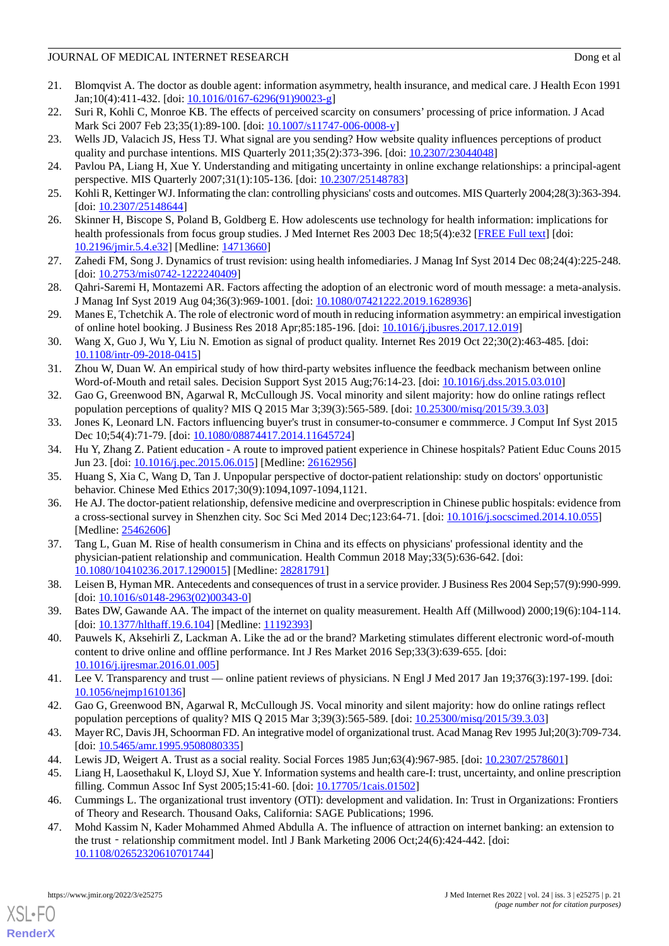### JOURNAL OF MEDICAL INTERNET RESEARCH DOUGLASS AND DONG ET al. (2012) Dong et al.

- <span id="page-20-0"></span>21. Blomqvist A. The doctor as double agent: information asymmetry, health insurance, and medical care. J Health Econ 1991 Jan;10(4):411-432. [doi: [10.1016/0167-6296\(91\)90023-g](http://dx.doi.org/10.1016/0167-6296(91)90023-g)]
- <span id="page-20-2"></span><span id="page-20-1"></span>22. Suri R, Kohli C, Monroe KB. The effects of perceived scarcity on consumers' processing of price information. J Acad Mark Sci 2007 Feb 23;35(1):89-100. [doi: [10.1007/s11747-006-0008-y](http://dx.doi.org/10.1007/s11747-006-0008-y)]
- <span id="page-20-3"></span>23. Wells JD, Valacich JS, Hess TJ. What signal are you sending? How website quality influences perceptions of product quality and purchase intentions. MIS Quarterly 2011;35(2):373-396. [doi: [10.2307/23044048\]](http://dx.doi.org/10.2307/23044048)
- <span id="page-20-4"></span>24. Pavlou PA, Liang H, Xue Y. Understanding and mitigating uncertainty in online exchange relationships: a principal-agent perspective. MIS Quarterly 2007;31(1):105-136. [doi: [10.2307/25148783\]](http://dx.doi.org/10.2307/25148783)
- <span id="page-20-5"></span>25. Kohli R, Kettinger WJ. Informating the clan: controlling physicians' costs and outcomes. MIS Quarterly 2004;28(3):363-394. [doi: [10.2307/25148644](http://dx.doi.org/10.2307/25148644)]
- <span id="page-20-6"></span>26. Skinner H, Biscope S, Poland B, Goldberg E. How adolescents use technology for health information: implications for health professionals from focus group studies. J Med Internet Res 2003 Dec 18;5(4):e32 [\[FREE Full text\]](https://www.jmir.org/2003/4/e32/) [doi: [10.2196/jmir.5.4.e32\]](http://dx.doi.org/10.2196/jmir.5.4.e32) [Medline: [14713660\]](http://www.ncbi.nlm.nih.gov/entrez/query.fcgi?cmd=Retrieve&db=PubMed&list_uids=14713660&dopt=Abstract)
- <span id="page-20-7"></span>27. Zahedi FM, Song J. Dynamics of trust revision: using health infomediaries. J Manag Inf Syst 2014 Dec 08;24(4):225-248. [doi: [10.2753/mis0742-1222240409\]](http://dx.doi.org/10.2753/mis0742-1222240409)
- <span id="page-20-8"></span>28. Qahri-Saremi H, Montazemi AR. Factors affecting the adoption of an electronic word of mouth message: a meta-analysis. J Manag Inf Syst 2019 Aug 04;36(3):969-1001. [doi: [10.1080/07421222.2019.1628936](http://dx.doi.org/10.1080/07421222.2019.1628936)]
- <span id="page-20-9"></span>29. Manes E, Tchetchik A. The role of electronic word of mouth in reducing information asymmetry: an empirical investigation of online hotel booking. J Business Res 2018 Apr;85:185-196. [doi: [10.1016/j.jbusres.2017.12.019\]](http://dx.doi.org/10.1016/j.jbusres.2017.12.019)
- <span id="page-20-10"></span>30. Wang X, Guo J, Wu Y, Liu N. Emotion as signal of product quality. Internet Res 2019 Oct 22;30(2):463-485. [doi: [10.1108/intr-09-2018-0415\]](http://dx.doi.org/10.1108/intr-09-2018-0415)
- <span id="page-20-12"></span><span id="page-20-11"></span>31. Zhou W, Duan W. An empirical study of how third-party websites influence the feedback mechanism between online Word-of-Mouth and retail sales. Decision Support Syst 2015 Aug;76:14-23. [doi: [10.1016/j.dss.2015.03.010\]](http://dx.doi.org/10.1016/j.dss.2015.03.010)
- <span id="page-20-13"></span>32. Gao G, Greenwood BN, Agarwal R, McCullough JS. Vocal minority and silent majority: how do online ratings reflect population perceptions of quality? MIS Q 2015 Mar 3;39(3):565-589. [doi: [10.25300/misq/2015/39.3.03\]](http://dx.doi.org/10.25300/misq/2015/39.3.03)
- <span id="page-20-14"></span>33. Jones K, Leonard LN. Factors influencing buyer's trust in consumer-to-consumer e commmerce. J Comput Inf Syst 2015 Dec 10;54(4):71-79. [doi: [10.1080/08874417.2014.11645724](http://dx.doi.org/10.1080/08874417.2014.11645724)]
- <span id="page-20-15"></span>34. Hu Y, Zhang Z. Patient education - A route to improved patient experience in Chinese hospitals? Patient Educ Couns 2015 Jun 23. [doi: [10.1016/j.pec.2015.06.015](http://dx.doi.org/10.1016/j.pec.2015.06.015)] [Medline: [26162956](http://www.ncbi.nlm.nih.gov/entrez/query.fcgi?cmd=Retrieve&db=PubMed&list_uids=26162956&dopt=Abstract)]
- <span id="page-20-16"></span>35. Huang S, Xia C, Wang D, Tan J. Unpopular perspective of doctor-patient relationship: study on doctors' opportunistic behavior. Chinese Med Ethics 2017;30(9):1094,1097-1094,1121.
- 36. He AJ. The doctor-patient relationship, defensive medicine and overprescription in Chinese public hospitals: evidence from a cross-sectional survey in Shenzhen city. Soc Sci Med 2014 Dec;123:64-71. [doi: [10.1016/j.socscimed.2014.10.055](http://dx.doi.org/10.1016/j.socscimed.2014.10.055)] [Medline: [25462606](http://www.ncbi.nlm.nih.gov/entrez/query.fcgi?cmd=Retrieve&db=PubMed&list_uids=25462606&dopt=Abstract)]
- <span id="page-20-18"></span><span id="page-20-17"></span>37. Tang L, Guan M. Rise of health consumerism in China and its effects on physicians' professional identity and the physician-patient relationship and communication. Health Commun 2018 May;33(5):636-642. [doi: [10.1080/10410236.2017.1290015\]](http://dx.doi.org/10.1080/10410236.2017.1290015) [Medline: [28281791\]](http://www.ncbi.nlm.nih.gov/entrez/query.fcgi?cmd=Retrieve&db=PubMed&list_uids=28281791&dopt=Abstract)
- <span id="page-20-19"></span>38. Leisen B, Hyman MR. Antecedents and consequences of trust in a service provider. J Business Res 2004 Sep;57(9):990-999. [doi: [10.1016/s0148-2963\(02\)00343-0](http://dx.doi.org/10.1016/s0148-2963(02)00343-0)]
- <span id="page-20-20"></span>39. Bates DW, Gawande AA. The impact of the internet on quality measurement. Health Aff (Millwood) 2000;19(6):104-114. [doi: [10.1377/hlthaff.19.6.104](http://dx.doi.org/10.1377/hlthaff.19.6.104)] [Medline: [11192393\]](http://www.ncbi.nlm.nih.gov/entrez/query.fcgi?cmd=Retrieve&db=PubMed&list_uids=11192393&dopt=Abstract)
- <span id="page-20-21"></span>40. Pauwels K, Aksehirli Z, Lackman A. Like the ad or the brand? Marketing stimulates different electronic word-of-mouth content to drive online and offline performance. Int J Res Market 2016 Sep;33(3):639-655. [doi: [10.1016/j.ijresmar.2016.01.005\]](http://dx.doi.org/10.1016/j.ijresmar.2016.01.005)
- <span id="page-20-23"></span><span id="page-20-22"></span>41. Lee V. Transparency and trust — online patient reviews of physicians. N Engl J Med 2017 Jan 19;376(3):197-199. [doi: [10.1056/nejmp1610136\]](http://dx.doi.org/10.1056/nejmp1610136)
- <span id="page-20-24"></span>42. Gao G, Greenwood BN, Agarwal R, McCullough JS. Vocal minority and silent majority: how do online ratings reflect population perceptions of quality? MIS Q 2015 Mar 3;39(3):565-589. [doi: [10.25300/misq/2015/39.3.03\]](http://dx.doi.org/10.25300/misq/2015/39.3.03)
- <span id="page-20-26"></span><span id="page-20-25"></span>43. Mayer RC, Davis JH, Schoorman FD. An integrative model of organizational trust. Acad Manag Rev 1995 Jul;20(3):709-734. [doi: [10.5465/amr.1995.9508080335](http://dx.doi.org/10.5465/amr.1995.9508080335)]
- 44. Lewis JD, Weigert A. Trust as a social reality. Social Forces 1985 Jun;63(4):967-985. [doi: [10.2307/2578601](http://dx.doi.org/10.2307/2578601)]
- 45. Liang H, Laosethakul K, Lloyd SJ, Xue Y. Information systems and health care-I: trust, uncertainty, and online prescription filling. Commun Assoc Inf Syst 2005;15:41-60. [doi: [10.17705/1cais.01502\]](http://dx.doi.org/10.17705/1cais.01502)
- 46. Cummings L. The organizational trust inventory (OTI): development and validation. In: Trust in Organizations: Frontiers of Theory and Research. Thousand Oaks, California: SAGE Publications; 1996.
- 47. Mohd Kassim N, Kader Mohammed Ahmed Abdulla A. The influence of attraction on internet banking: an extension to the trust - relationship commitment model. Intl J Bank Marketing 2006 Oct;24(6):424-442. [doi: [10.1108/02652320610701744\]](http://dx.doi.org/10.1108/02652320610701744)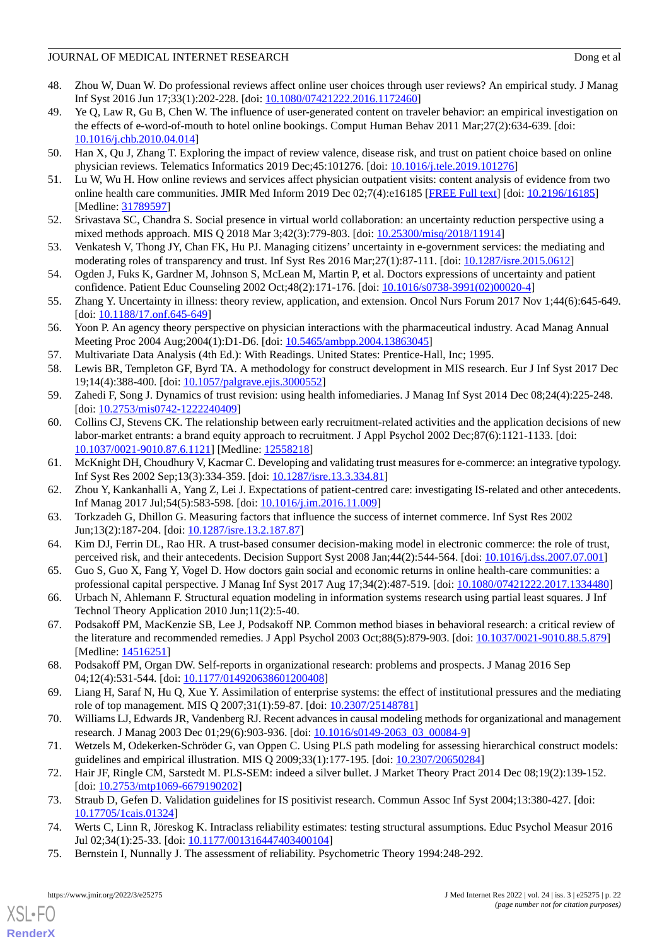### JOURNAL OF MEDICAL INTERNET RESEARCH DOUGLASS AND DONG ET al. (2012) Dong et al.

- <span id="page-21-0"></span>48. Zhou W, Duan W. Do professional reviews affect online user choices through user reviews? An empirical study. J Manag Inf Syst 2016 Jun 17;33(1):202-228. [doi: [10.1080/07421222.2016.1172460\]](http://dx.doi.org/10.1080/07421222.2016.1172460)
- <span id="page-21-1"></span>49. Ye Q, Law R, Gu B, Chen W. The influence of user-generated content on traveler behavior: an empirical investigation on the effects of e-word-of-mouth to hotel online bookings. Comput Human Behav 2011 Mar;27(2):634-639. [doi: [10.1016/j.chb.2010.04.014\]](http://dx.doi.org/10.1016/j.chb.2010.04.014)
- <span id="page-21-3"></span><span id="page-21-2"></span>50. Han X, Qu J, Zhang T. Exploring the impact of review valence, disease risk, and trust on patient choice based on online physician reviews. Telematics Informatics 2019 Dec;45:101276. [doi: [10.1016/j.tele.2019.101276\]](http://dx.doi.org/10.1016/j.tele.2019.101276)
- <span id="page-21-4"></span>51. Lu W, Wu H. How online reviews and services affect physician outpatient visits: content analysis of evidence from two online health care communities. JMIR Med Inform 2019 Dec 02;7(4):e16185 [[FREE Full text](https://medinform.jmir.org/2019/4/e16185/)] [doi: [10.2196/16185\]](http://dx.doi.org/10.2196/16185) [Medline: [31789597](http://www.ncbi.nlm.nih.gov/entrez/query.fcgi?cmd=Retrieve&db=PubMed&list_uids=31789597&dopt=Abstract)]
- <span id="page-21-5"></span>52. Srivastava SC, Chandra S. Social presence in virtual world collaboration: an uncertainty reduction perspective using a mixed methods approach. MIS Q 2018 Mar 3;42(3):779-803. [doi: [10.25300/misq/2018/11914\]](http://dx.doi.org/10.25300/misq/2018/11914)
- <span id="page-21-6"></span>53. Venkatesh V, Thong JY, Chan FK, Hu PJ. Managing citizens' uncertainty in e-government services: the mediating and moderating roles of transparency and trust. Inf Syst Res 2016 Mar;27(1):87-111. [doi: [10.1287/isre.2015.0612\]](http://dx.doi.org/10.1287/isre.2015.0612)
- <span id="page-21-7"></span>54. Ogden J, Fuks K, Gardner M, Johnson S, McLean M, Martin P, et al. Doctors expressions of uncertainty and patient confidence. Patient Educ Counseling 2002 Oct;48(2):171-176. [doi: [10.1016/s0738-3991\(02\)00020-4\]](http://dx.doi.org/10.1016/s0738-3991(02)00020-4)
- <span id="page-21-8"></span>55. Zhang Y. Uncertainty in illness: theory review, application, and extension. Oncol Nurs Forum 2017 Nov 1;44(6):645-649. [doi: [10.1188/17.onf.645-649\]](http://dx.doi.org/10.1188/17.onf.645-649)
- <span id="page-21-10"></span><span id="page-21-9"></span>56. Yoon P. An agency theory perspective on physician interactions with the pharmaceutical industry. Acad Manag Annual Meeting Proc 2004 Aug;2004(1):D1-D6. [doi: [10.5465/ambpp.2004.13863045\]](http://dx.doi.org/10.5465/ambpp.2004.13863045)
- <span id="page-21-11"></span>57. Multivariate Data Analysis (4th Ed.): With Readings. United States: Prentice-Hall, Inc; 1995.
- <span id="page-21-12"></span>58. Lewis BR, Templeton GF, Byrd TA. A methodology for construct development in MIS research. Eur J Inf Syst 2017 Dec 19;14(4):388-400. [doi: [10.1057/palgrave.ejis.3000552\]](http://dx.doi.org/10.1057/palgrave.ejis.3000552)
- 59. Zahedi F, Song J. Dynamics of trust revision: using health infomediaries. J Manag Inf Syst 2014 Dec 08;24(4):225-248. [doi: [10.2753/mis0742-1222240409\]](http://dx.doi.org/10.2753/mis0742-1222240409)
- <span id="page-21-14"></span><span id="page-21-13"></span>60. Collins CJ, Stevens CK. The relationship between early recruitment-related activities and the application decisions of new labor-market entrants: a brand equity approach to recruitment. J Appl Psychol 2002 Dec;87(6):1121-1133. [doi: [10.1037/0021-9010.87.6.1121\]](http://dx.doi.org/10.1037/0021-9010.87.6.1121) [Medline: [12558218](http://www.ncbi.nlm.nih.gov/entrez/query.fcgi?cmd=Retrieve&db=PubMed&list_uids=12558218&dopt=Abstract)]
- <span id="page-21-15"></span>61. McKnight DH, Choudhury V, Kacmar C. Developing and validating trust measures for e-commerce: an integrative typology. Inf Syst Res 2002 Sep;13(3):334-359. [doi: [10.1287/isre.13.3.334.81](http://dx.doi.org/10.1287/isre.13.3.334.81)]
- <span id="page-21-16"></span>62. Zhou Y, Kankanhalli A, Yang Z, Lei J. Expectations of patient-centred care: investigating IS-related and other antecedents. Inf Manag 2017 Jul;54(5):583-598. [doi: [10.1016/j.im.2016.11.009\]](http://dx.doi.org/10.1016/j.im.2016.11.009)
- <span id="page-21-17"></span>63. Torkzadeh G, Dhillon G. Measuring factors that influence the success of internet commerce. Inf Syst Res 2002 Jun;13(2):187-204. [doi: [10.1287/isre.13.2.187.87](http://dx.doi.org/10.1287/isre.13.2.187.87)]
- <span id="page-21-18"></span>64. Kim DJ, Ferrin DL, Rao HR. A trust-based consumer decision-making model in electronic commerce: the role of trust, perceived risk, and their antecedents. Decision Support Syst 2008 Jan;44(2):544-564. [doi: [10.1016/j.dss.2007.07.001\]](http://dx.doi.org/10.1016/j.dss.2007.07.001)
- <span id="page-21-19"></span>65. Guo S, Guo X, Fang Y, Vogel D. How doctors gain social and economic returns in online health-care communities: a professional capital perspective. J Manag Inf Syst 2017 Aug 17;34(2):487-519. [doi: [10.1080/07421222.2017.1334480](http://dx.doi.org/10.1080/07421222.2017.1334480)]
- <span id="page-21-20"></span>66. Urbach N, Ahlemann F. Structural equation modeling in information systems research using partial least squares. J Inf Technol Theory Application 2010 Jun;11(2):5-40.
- <span id="page-21-21"></span>67. Podsakoff PM, MacKenzie SB, Lee J, Podsakoff NP. Common method biases in behavioral research: a critical review of the literature and recommended remedies. J Appl Psychol 2003 Oct;88(5):879-903. [doi: [10.1037/0021-9010.88.5.879](http://dx.doi.org/10.1037/0021-9010.88.5.879)] [Medline: [14516251](http://www.ncbi.nlm.nih.gov/entrez/query.fcgi?cmd=Retrieve&db=PubMed&list_uids=14516251&dopt=Abstract)]
- <span id="page-21-23"></span><span id="page-21-22"></span>68. Podsakoff PM, Organ DW. Self-reports in organizational research: problems and prospects. J Manag 2016 Sep 04;12(4):531-544. [doi: [10.1177/014920638601200408\]](http://dx.doi.org/10.1177/014920638601200408)
- <span id="page-21-24"></span>69. Liang H, Saraf N, Hu Q, Xue Y. Assimilation of enterprise systems: the effect of institutional pressures and the mediating role of top management. MIS Q 2007;31(1):59-87. [doi: [10.2307/25148781](http://dx.doi.org/10.2307/25148781)]
- <span id="page-21-25"></span>70. Williams LJ, Edwards JR, Vandenberg RJ. Recent advances in causal modeling methods for organizational and management research. J Manag 2003 Dec 01;29(6):903-936. [doi: [10.1016/s0149-2063\\_03\\_00084-9](http://dx.doi.org/10.1016/s0149-2063_03_00084-9)]
- <span id="page-21-26"></span>71. Wetzels M, Odekerken-Schröder G, van Oppen C. Using PLS path modeling for assessing hierarchical construct models: guidelines and empirical illustration. MIS Q 2009;33(1):177-195. [doi: [10.2307/20650284\]](http://dx.doi.org/10.2307/20650284)
- <span id="page-21-27"></span>72. Hair JF, Ringle CM, Sarstedt M. PLS-SEM: indeed a silver bullet. J Market Theory Pract 2014 Dec 08;19(2):139-152. [doi: [10.2753/mtp1069-6679190202](http://dx.doi.org/10.2753/mtp1069-6679190202)]
- 73. Straub D, Gefen D. Validation guidelines for IS positivist research. Commun Assoc Inf Syst 2004;13:380-427. [doi: [10.17705/1cais.01324\]](http://dx.doi.org/10.17705/1cais.01324)
- 74. Werts C, Linn R, Jöreskog K. Intraclass reliability estimates: testing structural assumptions. Educ Psychol Measur 2016 Jul 02;34(1):25-33. [doi: [10.1177/001316447403400104\]](http://dx.doi.org/10.1177/001316447403400104)
- 75. Bernstein I, Nunnally J. The assessment of reliability. Psychometric Theory 1994:248-292.